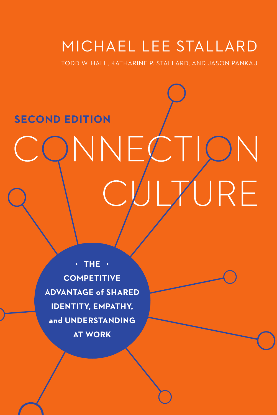# MICHAEL LEE STALLARD

TODD W. HALL, KATHARINE P. STALLARD, AND JASON PANKAU

# **SECOND EDITION** NNEC<sup>®</sup> ON URE

**THE COMPETITIVE ADVANTAGE of SHARED IDENTITY, EMPATHY, and UNDERSTANDING AT WORK**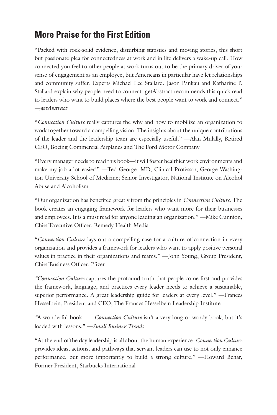# **More Praise for the First Edition**

"Packed with rock-solid evidence, disturbing statistics and moving stories, this short but passionate plea for connectedness at work and in life delivers a wake-up call. How connected you feel to other people at work turns out to be the primary driver of your sense of engagement as an employee, but Americans in particular have let relationships and community suffer. Experts Michael Lee Stallard, Jason Pankau and Katharine P. Stallard explain why people need to connect. getAbstract recommends this quick read to leaders who want to build places where the best people want to work and connect." —*getAbstract*

"*Connection Culture* really captures the why and how to mobilize an organization to work together toward a compelling vision. The insights about the unique contributions of the leader and the leadership team are especially useful." —Alan Mulally, Retired CEO, Boeing Commercial Airplanes and The Ford Motor Company

"Every manager needs to read this book—it will foster healthier work environments and make my job a lot easier!" —Ted George, MD, Clinical Professor, George Washington University School of Medicine; Senior Investigator, National Institute on Alcohol Abuse and Alcoholism

"Our organization has benefited greatly from the principles in *Connection Culture*. The book creates an engaging framework for leaders who want more for their businesses and employees. It is a must read for anyone leading an organization." —Mike Cunnion, Chief Executive Officer, Remedy Health Media

"*Connection Culture* lays out a compelling case for a culture of connection in every organization and provides a framework for leaders who want to apply positive personal values in practice in their organizations and teams." —John Young, Group President, Chief Business Officer, Pfizer

*"Connection Culture* captures the profound truth that people come first and provides the framework, language, and practices every leader needs to achieve a sustainable, superior performance. A great leadership guide for leaders at every level." —Frances Hesselbein, President and CEO, The Frances Hesselbein Leadership Institute

*"*A wonderful book . . . *Connection Culture* isn't a very long or wordy book, but it's loaded with lessons." —*Small Business Trends*

"At the end of the day leadership is all about the human experience. *Connection Culture*  provides ideas, actions, and pathways that servant leaders can use to not only enhance performance, but more importantly to build a strong culture." —Howard Behar, Former President, Starbucks International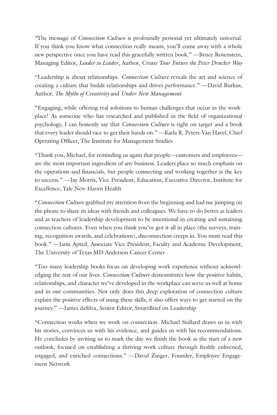*"*The message of *Connection Culture* is profoundly personal yet ultimately universal. If you think you know what connection really means, you'll come away with a whole new perspective once you have read this gracefully written book." —Bruce Rosenstein, Managing Editor, *Leader to Leader*, Author, *Create Your Future the Peter Drucker Way*

"Leadership is about relationships. *Connection Culture* reveals the art and science of creating a culture that builds relationships and drives performance." —David Burkus, Author, *The Myths of Creativity* and *Under New Management*

"Engaging, while offering real solutions to human challenges that occur in the workplace! As someone who has researched and published in the field of organizational psychology, I can honestly say that *Connection Culture* is right on target and a book that every leader should race to get their hands on." —Karla R. Peters-Van Havel, Chief Operating Officer, The Institute for Management Studies

"Thank you, Michael, for reminding us again that people—customers and employees are the most important ingredient of any business. Leaders place so much emphasis on the operations and financials, but people connecting and working together is the key to success." —Jay Morris, Vice President, Education, Executive Director, Institute for Excellence, Yale New Haven Health

"*Connection Culture* grabbed my attention from the beginning and had me jumping on the phone to share its ideas with friends and colleagues. We have to do better as leaders and as teachers of leadership development to be intentional in creating and sustaining connection cultures. Even when you think you've got it all in place (the surveys, training, recognition awards, and celebrations), disconnection creeps in. You must read this book." —Janis Apted, Associate Vice President, Faculty and Academic Development, The University of Texas MD Anderson Cancer Center

"Too many leadership books focus on developing work experience without acknowledging the rest of our lives. *Connection Culture* demonstrates how the positive habits, relationships, and character we've developed in the workplace can serve us well at home and in our communities. Not only does this deep exploration of connection culture explain the positive effects of using these skills, it also offers ways to get started on the journey." —James daSilva, Senior Editor, SmartBrief on Leadership

"Connection works when we work on connection. Michael Stallard draws us in with his stories, convinces us with his evidence, and guides us with his recommendations. He concludes by inviting us to mark the day we finish the book as the start of a new outlook, focused on establishing a thriving work culture through freshly enlivened, engaged, and enriched connections." —David Zinger, Founder, Employee Engagement Network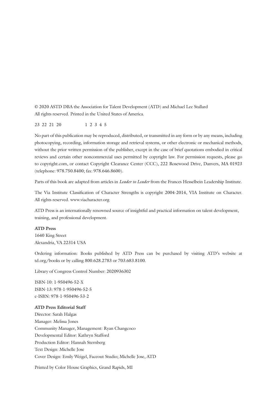© 2020 ASTD DBA the Association for Talent Development (ATD) and Michael Lee Stallard All rights reserved. Printed in the United States of America.

23 22 21 20 1 2 3 4 5

No part of this publication may be reproduced, distributed, or transmitted in any form or by any means, including photocopying, recording, information storage and retrieval systems, or other electronic or mechanical methods, without the prior written permission of the publisher, except in the case of brief quotations embodied in critical reviews and certain other noncommercial uses permitted by copyright law. For permission requests, please go to copyright.com, or contact Copyright Clearance Center (CCC), 222 Rosewood Drive, Danvers, MA 01923 (telephone: 978.750.8400; fax: 978.646.8600).

Parts of this book are adapted from articles in *Leader to Leader* from the Frances Hesselbein Leadership Institute.

The Via Institute Classification of Character Strengths is copyright 2004-2014, VIA Institute on Character. All rights reserved. www.viacharacter.org

ATD Press is an internationally renowned source of insightful and practical information on talent development, training, and professional development.

#### **ATD Press**

1640 King Street Alexandria, VA 22314 USA

Ordering information: Books published by ATD Press can be purchased by visiting ATD's website at td.org/books or by calling 800.628.2783 or 703.683.8100.

Library of Congress Control Number: 2020936302

ISBN-10: 1-950496-52-X ISBN-13: 978-1-950496-52-5 e-ISBN: 978-1-950496-53-2

#### **ATD Press Editorial Staff**

Director: Sarah Halgas Manager: Melissa Jones Community Manager, Management: Ryan Changcoco Developmental Editor: Kathryn Stafford Production Editor: Hannah Sternberg Text Design: Michelle Jose Cover Design: Emily Weigel, Faceout Studio; Michelle Jose, ATD

Printed by Color House Graphics, Grand Rapids, MI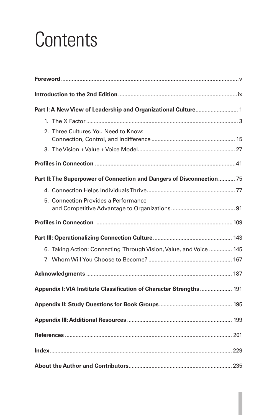# **Contents**

| Part I: A New View of Leadership and Organizational Culture 1         |  |
|-----------------------------------------------------------------------|--|
|                                                                       |  |
| 2. Three Cultures You Need to Know:                                   |  |
|                                                                       |  |
|                                                                       |  |
| Part II: The Superpower of Connection and Dangers of Disconnection 75 |  |
|                                                                       |  |
| 5. Connection Provides a Performance                                  |  |
|                                                                       |  |
|                                                                       |  |
| 6. Taking Action: Connecting Through Vision, Value, and Voice  145    |  |
|                                                                       |  |
|                                                                       |  |
| Appendix I: VIA Institute Classification of Character Strengths  191  |  |
|                                                                       |  |
|                                                                       |  |
|                                                                       |  |
|                                                                       |  |
|                                                                       |  |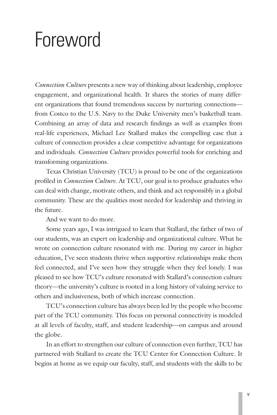# <span id="page-6-0"></span>Foreword

*Connection Culture* presents a new way of thinking about leadership, employee engagement, and organizational health. It shares the stories of many different organizations that found tremendous success by nurturing connections from Costco to the U.S. Navy to the Duke University men's basketball team. Combining an array of data and research findings as well as examples from real-life experiences, Michael Lee Stallard makes the compelling case that a culture of connection provides a clear competitive advantage for organizations and individuals. *Connection Culture* provides powerful tools for enriching and transforming organizations.

Texas Christian University (TCU) is proud to be one of the organizations profiled in *Connection Culture*. At TCU, our goal is to produce graduates who can deal with change, motivate others, and think and act responsibly in a global community. These are the qualities most needed for leadership and thriving in the future.

And we want to do more.

Some years ago, I was intrigued to learn that Stallard, the father of two of our students, was an expert on leadership and organizational culture. What he wrote on connection culture resonated with me. During my career in higher education, I've seen students thrive when supportive relationships make them feel connected, and I've seen how they struggle when they feel lonely. I was pleased to see how TCU's culture resonated with Stallard's connection culture theory—the university's culture is rooted in a long history of valuing service to others and inclusiveness, both of which increase connection.

TCU's connection culture has always been led by the people who become part of the TCU community. This focus on personal connectivity is modeled at all levels of faculty, staff, and student leadership—on campus and around the globe.

In an effort to strengthen our culture of connection even further, TCU has partnered with Stallard to create the TCU Center for Connection Culture. It begins at home as we equip our faculty, staff, and students with the skills to be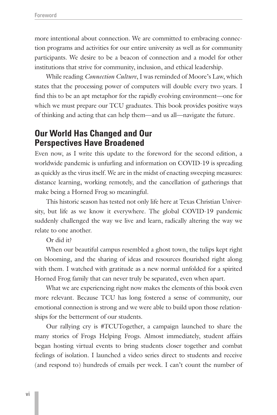more intentional about connection. We are committed to embracing connection programs and activities for our entire university as well as for community participants. We desire to be a beacon of connection and a model for other institutions that strive for community, inclusion, and ethical leadership.

While reading *Connection Culture*, I was reminded of Moore's Law, which states that the processing power of computers will double every two years. I find this to be an apt metaphor for the rapidly evolving environment—one for which we must prepare our TCU graduates. This book provides positive ways of thinking and acting that can help them—and us all—navigate the future.

# **Our World Has Changed and Our Perspectives Have Broadened**

Even now, as I write this update to the foreword for the second edition, a worldwide pandemic is unfurling and information on COVID-19 is spreading as quickly as the virus itself. We are in the midst of enacting sweeping measures: distance learning, working remotely, and the cancellation of gatherings that make being a Horned Frog so meaningful.

This historic season has tested not only life here at Texas Christian University, but life as we know it everywhere. The global COVID-19 pandemic suddenly challenged the way we live and learn, radically altering the way we relate to one another.

Or did it?

When our beautiful campus resembled a ghost town, the tulips kept right on blooming, and the sharing of ideas and resources flourished right along with them. I watched with gratitude as a new normal unfolded for a spirited Horned Frog family that can never truly be separated, even when apart.

What we are experiencing right now makes the elements of this book even more relevant. Because TCU has long fostered a sense of community, our emotional connection is strong and we were able to build upon those relationships for the betterment of our students.

Our rallying cry is #TCUTogether, a campaign launched to share the many stories of Frogs Helping Frogs. Almost immediately, student affairs began hosting virtual events to bring students closer together and combat feelings of isolation. I launched a video series direct to students and receive (and respond to) hundreds of emails per week. I can't count the number of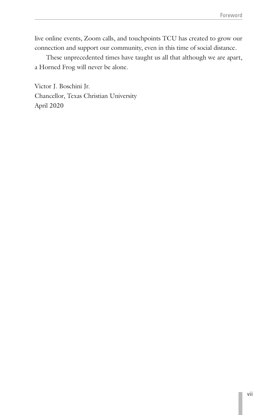live online events, Zoom calls, and touchpoints TCU has created to grow our connection and support our community, even in this time of social distance.

These unprecedented times have taught us all that although we are apart, a Horned Frog will never be alone.

Victor J. Boschini Jr. Chancellor, Texas Christian University April 2020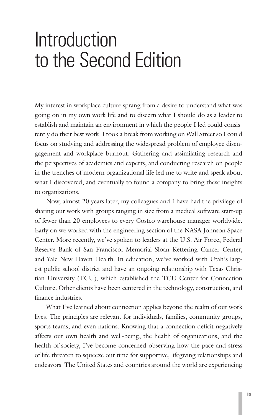# <span id="page-10-0"></span>Introduction to the Second Edition

My interest in workplace culture sprang from a desire to understand what was going on in my own work life and to discern what I should do as a leader to establish and maintain an environment in which the people I led could consistently do their best work. I took a break from working on Wall Street so I could focus on studying and addressing the widespread problem of employee disengagement and workplace burnout. Gathering and assimilating research and the perspectives of academics and experts, and conducting research on people in the trenches of modern organizational life led me to write and speak about what I discovered, and eventually to found a company to bring these insights to organizations.

Now, almost 20 years later, my colleagues and I have had the privilege of sharing our work with groups ranging in size from a medical software start-up of fewer than 20 employees to every Costco warehouse manager worldwide. Early on we worked with the engineering section of the NASA Johnson Space Center. More recently, we've spoken to leaders at the U.S. Air Force, Federal Reserve Bank of San Francisco, Memorial Sloan Kettering Cancer Center, and Yale New Haven Health. In education, we've worked with Utah's largest public school district and have an ongoing relationship with Texas Christian University (TCU), which established the TCU Center for Connection Culture. Other clients have been centered in the technology, construction, and finance industries.

What I've learned about connection applies beyond the realm of our work lives. The principles are relevant for individuals, families, community groups, sports teams, and even nations. Knowing that a connection deficit negatively affects our own health and well-being, the health of organizations, and the health of society, I've become concerned observing how the pace and stress of life threaten to squeeze out time for supportive, lifegiving relationships and endeavors. The United States and countries around the world are experiencing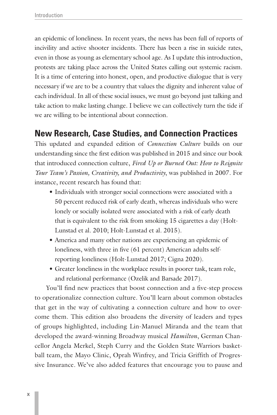an epidemic of loneliness. In recent years, the news has been full of reports of incivility and active shooter incidents. There has been a rise in suicide rates, even in those as young as elementary school age. As I update this introduction, protests are taking place across the United States calling out systemic racism. It is a time of entering into honest, open, and productive dialogue that is very necessary if we are to be a country that values the dignity and inherent value of each individual. In all of these social issues, we must go beyond just talking and take action to make lasting change. I believe we can collectively turn the tide if we are willing to be intentional about connection.

# **New Research, Case Studies, and Connection Practices**

This updated and expanded edition of *Connection Culture* builds on our understanding since the first edition was published in 2015 and since our book that introduced connection culture, *Fired Up or Burned Out: How to Reignite Your Team's Passion, Creativity, and Productivity*, was published in 2007. For instance, recent research has found that:

- Individuals with stronger social connections were associated with a 50 percent reduced risk of early death, whereas individuals who were lonely or socially isolated were associated with a risk of early death that is equivalent to the risk from smoking 15 cigarettes a day (Holt-Lunstad et al. 2010; Holt-Lunstad et al. 2015).
- America and many other nations are experiencing an epidemic of loneliness, with three in five (61 percent) American adults selfreporting loneliness (Holt-Lunstad 2017; Cigna 2020).
- Greater loneliness in the workplace results in poorer task, team role, and relational performance (Ozelik and Barsade 2017).

You'll find new practices that boost connection and a five-step process to operationalize connection culture. You'll learn about common obstacles that get in the way of cultivating a connection culture and how to overcome them. This edition also broadens the diversity of leaders and types of groups highlighted, including Lin-Manuel Miranda and the team that developed the award-winning Broadway musical *Hamilton*, German Chancellor Angela Merkel, Steph Curry and the Golden State Warriors basketball team, the Mayo Clinic, Oprah Winfrey, and Tricia Griffith of Progressive Insurance. We've also added features that encourage you to pause and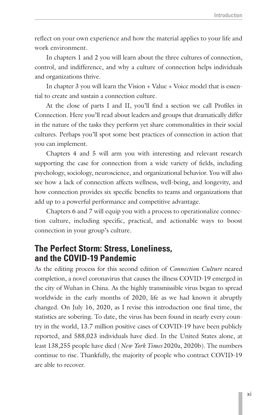reflect on your own experience and how the material applies to your life and work environment.

In chapters 1 and 2 you will learn about the three cultures of connection, control, and indifference, and why a culture of connection helps individuals and organizations thrive.

In chapter 3 you will learn the Vision + Value + Voice model that is essential to create and sustain a connection culture.

At the close of parts I and II, you'll find a section we call Profiles in Connection. Here you'll read about leaders and groups that dramatically differ in the nature of the tasks they perform yet share commonalities in their social cultures. Perhaps you'll spot some best practices of connection in action that you can implement.

Chapters 4 and 5 will arm you with interesting and relevant research supporting the case for connection from a wide variety of fields, including psychology, sociology, neuroscience, and organizational behavior. You will also see how a lack of connection affects wellness, well-being, and longevity, and how connection provides six specific benefits to teams and organizations that add up to a powerful performance and competitive advantage.

Chapters 6 and 7 will equip you with a process to operationalize connection culture, including specific, practical, and actionable ways to boost connection in your group's culture.

# **The Perfect Storm: Stress, Loneliness, and the COVID-19 Pandemic**

As the editing process for this second edition of *Connection Culture* neared completion, a novel coronavirus that causes the illness COVID-19 emerged in the city of Wuhan in China. As the highly transmissible virus began to spread worldwide in the early months of 2020, life as we had known it abruptly changed. On July 16, 2020, as I revise this introduction one final time, the statistics are sobering. To date, the virus has been found in nearly every country in the world, 13.7 million positive cases of COVID-19 have been publicly reported, and 588,023 individuals have died. In the United States alone, at least 138,255 people have died (*New York Times* 2020a, 2020b). The numbers continue to rise. Thankfully, the majority of people who contract COVID-19 are able to recover.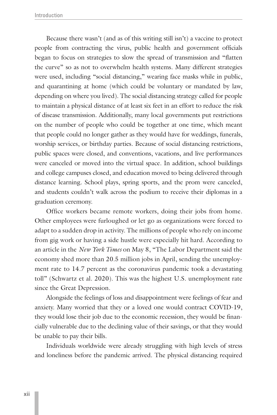Because there wasn't (and as of this writing still isn't) a vaccine to protect people from contracting the virus, public health and government officials began to focus on strategies to slow the spread of transmission and "flatten the curve" so as not to overwhelm health systems. Many different strategies were used, including "social distancing," wearing face masks while in public, and quarantining at home (which could be voluntary or mandated by law, depending on where you lived). The social distancing strategy called for people to maintain a physical distance of at least six feet in an effort to reduce the risk of disease transmission. Additionally, many local governments put restrictions on the number of people who could be together at one time, which meant that people could no longer gather as they would have for weddings, funerals, worship services, or birthday parties. Because of social distancing restrictions, public spaces were closed, and conventions, vacations, and live performances were canceled or moved into the virtual space. In addition, school buildings and college campuses closed, and education moved to being delivered through distance learning. School plays, spring sports, and the prom were canceled, and students couldn't walk across the podium to receive their diplomas in a graduation ceremony.

Office workers became remote workers, doing their jobs from home. Other employees were furloughed or let go as organizations were forced to adapt to a sudden drop in activity. The millions of people who rely on income from gig work or having a side hustle were especially hit hard. According to an article in the *New York Times* on May 8, "The Labor Department said the economy shed more than 20.5 million jobs in April, sending the unemployment rate to 14.7 percent as the coronavirus pandemic took a devastating toll" (Schwartz et al. 2020). This was the highest U.S. unemployment rate since the Great Depression.

Alongside the feelings of loss and disappointment were feelings of fear and anxiety. Many worried that they or a loved one would contract COVID-19, they would lose their job due to the economic recession, they would be financially vulnerable due to the declining value of their savings, or that they would be unable to pay their bills.

Individuals worldwide were already struggling with high levels of stress and loneliness before the pandemic arrived. The physical distancing required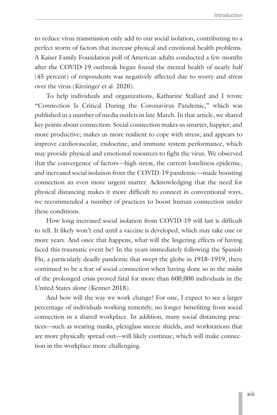to reduce virus transmission only add to our social isolation, contributing to a perfect storm of factors that increase physical and emotional health problems. A Kaiser Family Foundation poll of American adults conducted a few months after the COVID-19 outbreak began found the mental health of nearly half (45 percent) of respondents was negatively affected due to worry and stress over the virus (Kirzinger et al. 2020).

To help individuals and organizations, Katharine Stallard and I wrote "Connection Is Critical During the Coronavirus Pandemic," which was published in a number of media outlets in late March. In that article, we shared key points about connection: Social connection makes us smarter, happier, and more productive; makes us more resilient to cope with stress; and appears to improve cardiovascular, endocrine, and immune system performance, which may provide physical and emotional resources to fight the virus. We observed that the convergence of factors—high stress, the current loneliness epidemic, and increased social isolation from the COVID-19 pandemic—made boosting connection an even more urgent matter. Acknowledging that the need for physical distancing makes it more difficult to connect in conventional ways, we recommended a number of practices to boost human connection under these conditions.

How long increased social isolation from COVID-19 will last is difficult to tell. It likely won't end until a vaccine is developed, which may take one or more years. And once that happens, what will the lingering effects of having faced this traumatic event be? In the years immediately following the Spanish Flu, a particularly deadly pandemic that swept the globe in 1918–1919, there continued to be a fear of social connection when having done so in the midst of the prolonged crisis proved fatal for more than 600,000 individuals in the United States alone (Kenner 2018).

And how will the way we work change? For one, I expect to see a larger percentage of individuals working remotely, no longer benefiting from social connection in a shared workplace. In addition, many social distancing practices—such as wearing masks, plexiglass sneeze shields, and workstations that are more physically spread out—will likely continue, which will make connection in the workplace more challenging.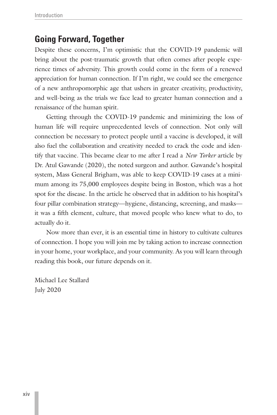# **Going Forward, Together**

Despite these concerns, I'm optimistic that the COVID-19 pandemic will bring about the post-traumatic growth that often comes after people experience times of adversity. This growth could come in the form of a renewed appreciation for human connection. If I'm right, we could see the emergence of a new anthropomorphic age that ushers in greater creativity, productivity, and well-being as the trials we face lead to greater human connection and a renaissance of the human spirit.

Getting through the COVID-19 pandemic and minimizing the loss of human life will require unprecedented levels of connection. Not only will connection be necessary to protect people until a vaccine is developed, it will also fuel the collaboration and creativity needed to crack the code and identify that vaccine. This became clear to me after I read a *New Yorker* article by Dr. Atul Gawande (2020), the noted surgeon and author. Gawande's hospital system, Mass General Brigham, was able to keep COVID-19 cases at a minimum among its 75,000 employees despite being in Boston, which was a hot spot for the disease. In the article he observed that in addition to his hospital's four pillar combination strategy—hygiene, distancing, screening, and masks it was a fifth element, culture, that moved people who knew what to do, to actually do it.

Now more than ever, it is an essential time in history to cultivate cultures of connection. I hope you will join me by taking action to increase connection in your home, your workplace, and your community. As you will learn through reading this book, our future depends on it.

Michael Lee Stallard July 2020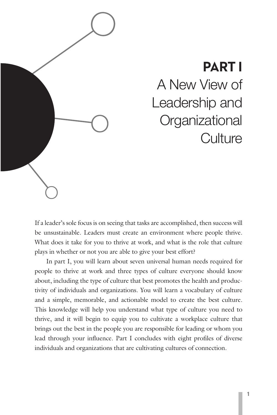<span id="page-16-0"></span>

# **PART I** A New View of Leadership and **Organizational Culture**

If a leader's sole focus is on seeing that tasks are accomplished, then success will be unsustainable. Leaders must create an environment where people thrive. What does it take for you to thrive at work, and what is the role that culture plays in whether or not you are able to give your best effort?

In part I, you will learn about seven universal human needs required for people to thrive at work and three types of culture everyone should know about, including the type of culture that best promotes the health and productivity of individuals and organizations. You will learn a vocabulary of culture and a simple, memorable, and actionable model to create the best culture. This knowledge will help you understand what type of culture you need to thrive, and it will begin to equip you to cultivate a workplace culture that brings out the best in the people you are responsible for leading or whom you lead through your influence. Part I concludes with eight profiles of diverse individuals and organizations that are cultivating cultures of connection.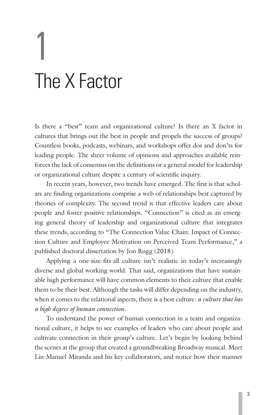# <span id="page-18-0"></span>1 The X Factor

Is there a "best" team and organizational culture? Is there an X factor in cultures that brings out the best in people and propels the success of groups? Countless books, podcasts, webinars, and workshops offer dos and don'ts for leading people. The sheer volume of opinions and approaches available reinforces the lack of consensus on the definitions or a general model for leadership or organizational culture despite a century of scientific inquiry.

In recent years, however, two trends have emerged. The first is that scholars are finding organizations comprise a web of relationships best captured by theories of complexity. The second trend is that effective leaders care about people and foster positive relationships. "Connection" is cited as an emerging general theory of leadership and organizational culture that integrates these trends, according to "The Connection Value Chain: Impact of Connection Culture and Employee Motivation on Perceived Team Performance," a published doctoral dissertation by Jon Rugg (2018).

Applying a one-size-fits-all culture isn't realistic in today's increasingly diverse and global working world. That said, organizations that have sustainable high performance will have common elements to their culture that enable them to be their best. Although the tasks will differ depending on the industry, when it comes to the relational aspects, there is a best culture: *a culture that has a high degree of human connection.* 

To understand the power of human connection in a team and organizational culture, it helps to see examples of leaders who care about people and cultivate connection in their group's culture. Let's begin by looking behind the scenes at the group that created a groundbreaking Broadway musical. Meet Lin-Manuel Miranda and his key collaborators, and notice how their manner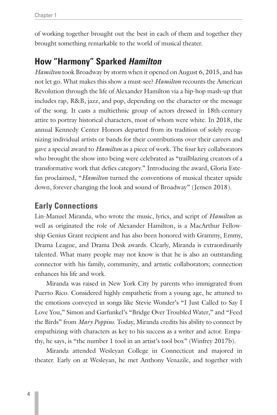of working together brought out the best in each of them and together they brought something remarkable to the world of musical theater.

# **How "Harmony" Sparked** *Hamilton*

*Hamilton* took Broadway by storm when it opened on August 6, 2015, and has not let go. What makes this show a must-see? *Hamilton* recounts the American Revolution through the life of Alexander Hamilton via a hip-hop mash-up that includes rap, R&B, jazz, and pop, depending on the character or the message of the song. It casts a multiethnic group of actors dressed in 18th-century attire to portray historical characters, most of whom were white. In 2018, the annual Kennedy Center Honors departed from its tradition of solely recognizing individual artists or bands for their contributions over their careers and gave a special award to *Hamilton* as a piece of work. The four key collaborators who brought the show into being were celebrated as "trailblazing creators of a transformative work that defies category." Introducing the award, Gloria Estefan proclaimed, "*Hamilton* turned the conventions of musical theater upside down, forever changing the look and sound of Broadway" (Jensen 2018).

# **Early Connections**

Lin-Manuel Miranda, who wrote the music, lyrics, and script of *Hamilton* as well as originated the role of Alexander Hamilton, is a MacArthur Fellowship Genius Grant recipient and has also been honored with Grammy, Emmy, Drama League, and Drama Desk awards. Clearly, Miranda is extraordinarily talented. What many people may not know is that he is also an outstanding connector with his family, community, and artistic collaborators; connection enhances his life and work.

Miranda was raised in New York City by parents who immigrated from Puerto Rico. Considered highly empathetic from a young age, he attuned to the emotions conveyed in songs like Stevie Wonder's "I Just Called to Say I Love You," Simon and Garfunkel's "Bridge Over Troubled Water," and "Feed the Birds" from *Mary Poppins*. Today, Miranda credits his ability to connect by empathizing with characters as key to his success as a writer and actor. Empathy, he says, is "the number 1 tool in an artist's tool box" (Winfrey 2017b).

Miranda attended Wesleyan College in Connecticut and majored in theater. Early on at Wesleyan, he met Anthony Venazile, and together with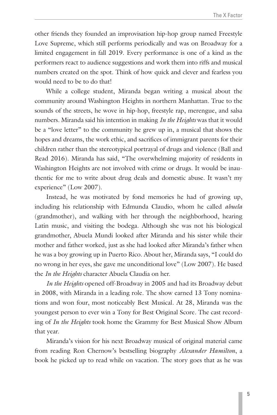other friends they founded an improvisation hip-hop group named Freestyle Love Supreme, which still performs periodically and was on Broadway for a limited engagement in fall 2019. Every performance is one of a kind as the performers react to audience suggestions and work them into riffs and musical numbers created on the spot. Think of how quick and clever and fearless you would need to be to do that!

While a college student, Miranda began writing a musical about the community around Washington Heights in northern Manhattan. True to the sounds of the streets, he wove in hip-hop, freestyle rap, merengue, and salsa numbers. Miranda said his intention in making *In the Heights* was that it would be a "love letter" to the community he grew up in, a musical that shows the hopes and dreams, the work ethic, and sacrifices of immigrant parents for their children rather than the stereotypical portrayal of drugs and violence (Ball and Read 2016). Miranda has said, "The overwhelming majority of residents in Washington Heights are not involved with crime or drugs. It would be inauthentic for me to write about drug deals and domestic abuse. It wasn't my experience" (Low 2007).

Instead, he was motivated by fond memories he had of growing up, including his relationship with Edmunda Claudio, whom he called *abuela* (grandmother), and walking with her through the neighborhood, hearing Latin music, and visiting the bodega. Although she was not his biological grandmother, Abuela Mundi looked after Miranda and his sister while their mother and father worked, just as she had looked after Miranda's father when he was a boy growing up in Puerto Rico. About her, Miranda says, "I could do no wrong in her eyes, she gave me unconditional love" (Low 2007). He based the *In the Heights* character Abuela Claudia on her.

*In the Heights* opened off-Broadway in 2005 and had its Broadway debut in 2008, with Miranda in a leading role. The show earned 13 Tony nominations and won four, most noticeably Best Musical. At 28, Miranda was the youngest person to ever win a Tony for Best Original Score. The cast recording of *In the Heights* took home the Grammy for Best Musical Show Album that year.

Miranda's vision for his next Broadway musical of original material came from reading Ron Chernow's bestselling biography *Alexander Hamilton*, a book he picked up to read while on vacation. The story goes that as he was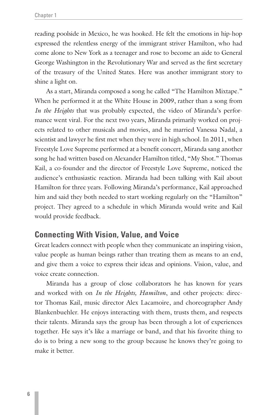reading poolside in Mexico, he was hooked. He felt the emotions in hip-hop expressed the relentless energy of the immigrant striver Hamilton, who had come alone to New York as a teenager and rose to become an aide to General George Washington in the Revolutionary War and served as the first secretary of the treasury of the United States. Here was another immigrant story to shine a light on.

As a start, Miranda composed a song he called "The Hamilton Mixtape." When he performed it at the White House in 2009, rather than a song from *In the Heights* that was probably expected, the video of Miranda's performance went viral. For the next two years, Miranda primarily worked on projects related to other musicals and movies, and he married Vanessa Nadal, a scientist and lawyer he first met when they were in high school. In 2011, when Freestyle Love Supreme performed at a benefit concert, Miranda sang another song he had written based on Alexander Hamilton titled, "My Shot." Thomas Kail, a co-founder and the director of Freestyle Love Supreme, noticed the audience's enthusiastic reaction. Miranda had been talking with Kail about Hamilton for three years. Following Miranda's performance, Kail approached him and said they both needed to start working regularly on the "Hamilton" project. They agreed to a schedule in which Miranda would write and Kail would provide feedback.

# **Connecting With Vision, Value, and Voice**

Great leaders connect with people when they communicate an inspiring vision, value people as human beings rather than treating them as means to an end, and give them a voice to express their ideas and opinions. Vision, value, and voice create connection.

Miranda has a group of close collaborators he has known for years and worked with on *In the Heights, Hamilton*, and other projects: director Thomas Kail, music director Alex Lacamoire, and choreographer Andy Blankenbuehler. He enjoys interacting with them, trusts them, and respects their talents. Miranda says the group has been through a lot of experiences together. He says it's like a marriage or band, and that his favorite thing to do is to bring a new song to the group because he knows they're going to make it better.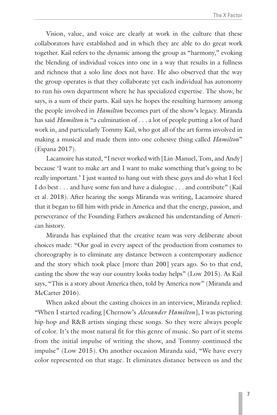Vision, value, and voice are clearly at work in the culture that these collaborators have established and in which they are able to do great work together. Kail refers to the dynamic among the group as "harmony," evoking the blending of individual voices into one in a way that results in a fullness and richness that a solo line does not have. He also observed that the way the group operates is that they collaborate yet each individual has autonomy to run his own department where he has specialized expertise. The show, he says, is a sum of their parts. Kail says he hopes the resulting harmony among the people involved in *Hamilton* becomes part of the show's legacy. Miranda has said *Hamilton* is "a culmination of . . . a lot of people putting a lot of hard work in, and particularly Tommy Kail, who got all of the art forms involved in making a musical and made them into one cohesive thing called *Hamilton*" (Espana 2017).

Lacamoire has stated, "I never worked with [Lin-Manuel, Tom, and Andy] because 'I want to make art and I want to make something that's going to be really important.' I just wanted to hang out with these guys and do what I feel I do best . . . and have some fun and have a dialogue . . . and contribute" (Kail et al. 2018). After hearing the songs Miranda was writing, Lacamoire shared that it began to fill him with pride in America and that the energy, passion, and perseverance of the Founding Fathers awakened his understanding of American history.

Miranda has explained that the creative team was very deliberate about choices made: "Our goal in every aspect of the production from costumes to choreography is to eliminate any distance between a contemporary audience and the story which took place [more than 200] years ago. So to that end, casting the show the way our country looks today helps" (Low 2015). As Kail says, "This is a story about America then, told by America now" (Miranda and McCarter 2016).

When asked about the casting choices in an interview, Miranda replied: "When I started reading [Chernow's *Alexander Hamilton*], I was picturing hip-hop and R&B artists singing these songs. So they were always people of color. It's the most natural fit for this genre of music. So part of it stems from the initial impulse of writing the show, and Tommy continued the impulse" (Low 2015). On another occasion Miranda said, "We have every color represented on that stage. It eliminates distance between us and the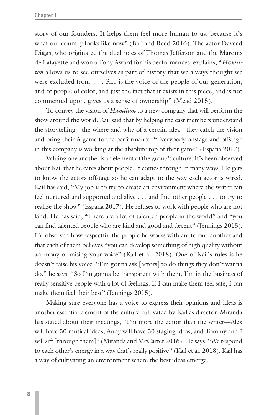story of our founders. It helps them feel more human to us, because it's what our country looks like now" (Ball and Reed 2016). The actor Daveed Diggs, who originated the dual roles of Thomas Jefferson and the Marquis de Lafayette and won a Tony Award for his performances, explains, "*Hamilton* allows us to see ourselves as part of history that we always thought we were excluded from. . . . Rap is the voice of the people of our generation, and of people of color, and just the fact that it exists in this piece, and is not commented upon, gives us a sense of ownership" (Mead 2015).

To convey the vision of *Hamilton* to a new company that will perform the show around the world, Kail said that by helping the cast members understand the storytelling—the where and why of a certain idea—they catch the vision and bring their A game to the performance: "Everybody onstage and offstage in this company is working at the absolute top of their game" (Espana 2017).

Valuing one another is an element of the group's culture. It's been observed about Kail that he cares about people. It comes through in many ways. He gets to know the actors offstage so he can adapt to the way each actor is wired. Kail has said, "My job is to try to create an environment where the writer can feel nurtured and supported and alive . . . and find other people . . . to try to realize the show" (Espana 2017). He refuses to work with people who are not kind. He has said, "There are a lot of talented people in the world" and "you can find talented people who are kind and good and decent" (Jennings 2015). He observed how respectful the people he works with are to one another and that each of them believes "you can develop something of high quality without acrimony or raising your voice" (Kail et al. 2018). One of Kail's rules is he doesn't raise his voice. "I'm gonna ask [actors] to do things they don't wanna do," he says. "So I'm gonna be transparent with them. I'm in the business of really sensitive people with a lot of feelings. If I can make them feel safe, I can make them feel their best" (Jennings 2015).

Making sure everyone has a voice to express their opinions and ideas is another essential element of the culture cultivated by Kail as director. Miranda has stated about their meetings, "I'm more the editor than the writer—Alex will have 50 musical ideas, Andy will have 50 staging ideas, and Tommy and I will sift [through them]" (Miranda and McCarter 2016). He says, "We respond to each other's energy in a way that's really positive" (Kail et al. 2018). Kail has a way of cultivating an environment where the best ideas emerge.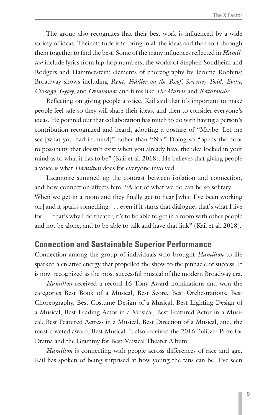The group also recognizes that their best work is influenced by a wide variety of ideas. Their attitude is to bring in all the ideas and then sort through them together to find the best. Some of the many influences reflected in *Hamilton* include lyrics from hip-hop numbers; the works of Stephen Sondheim and Rodgers and Hammerstein; elements of choreography by Jerome Robbins; Broadway shows including *Rent*, *Fiddler on the Roof*, *Sweeney Todd*, *Evita*, *Chicago*, *Gypsy*, and *Oklahoma*; and films like *The Matrix* and *Ratatouille*.

Reflecting on giving people a voice, Kail said that it's important to make people feel safe so they will share their ideas, and then to consider everyone's ideas. He pointed out that collaboration has much to do with having a person's contribution recognized and heard, adopting a posture of "Maybe. Let me see [what you had in mind]" rather than "No." Doing so "opens the door to possibility that doesn't exist when you already have the idea locked in your mind as to what it has to be" (Kail et al. 2018). He believes that giving people a voice is what *Hamilton* does for everyone involved.

Lacamoire summed up the contrast between isolation and connection, and how connection affects him: "A lot of what we do can be so solitary . . . When we get in a room and they finally get to hear [what I've been working on] and it sparks something . . . even if it starts that dialogue, that's what I live for . . . that's why I do theater, it's to be able to get in a room with other people and not be alone, and to be able to talk and have that link" (Kail et al. 2018).

# **Connection and Sustainable Superior Performance**

Connection among the group of individuals who brought *Hamilton* to life sparked a creative energy that propelled the show to the pinnacle of success. It is now recognized as the most successful musical of the modern Broadway era.

*Hamilton* received a record 16 Tony Award nominations and won the categories Best Book of a Musical, Best Score, Best Orchestrations, Best Choreography, Best Costume Design of a Musical, Best Lighting Design of a Musical, Best Leading Actor in a Musical, Best Featured Actor in a Musical, Best Featured Actress in a Musical, Best Direction of a Musical, and, the most coveted award, Best Musical. It also received the 2016 Pulitzer Prize for Drama and the Grammy for Best Musical Theater Album.

*Hamilton* is connecting with people across differences of race and age. Kail has spoken of being surprised at how young the fans can be. I've seen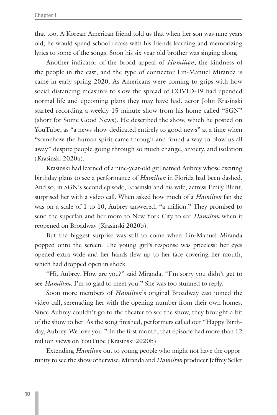that too. A Korean-American friend told us that when her son was nine years old, he would spend school recess with his friends learning and memorizing lyrics to some of the songs. Soon his six-year-old brother was singing along.

Another indicator of the broad appeal of *Hamilton*, the kindness of the people in the cast, and the type of connector Lin-Manuel Miranda is came in early spring 2020. As Americans were coming to grips with how social distancing measures to slow the spread of COVID-19 had upended normal life and upcoming plans they may have had, actor John Krasinski started recording a weekly 15-minute show from his home called "SGN" (short for Some Good News). He described the show, which he posted on YouTube, as "a news show dedicated entirely to good news" at a time when "somehow the human spirit came through and found a way to blow us all away" despite people going through so much change, anxiety, and isolation (Krasinski 2020a).

Krasinski had learned of a nine-year-old girl named Aubrey whose exciting birthday plans to see a performance of *Hamilton* in Florida had been dashed. And so, in SGN's second episode, Krasinski and his wife, actress Emily Blunt, surprised her with a video call. When asked how much of a *Hamilton* fan she was on a scale of 1 to 10, Aubrey answered, "a million." They promised to send the superfan and her mom to New York City to see *Hamilton* when it reopened on Broadway (Krasinski 2020b).

But the biggest surprise was still to come when Lin-Manuel Miranda popped onto the screen. The young girl's response was priceless: her eyes opened extra wide and her hands flew up to her face covering her mouth, which had dropped open in shock.

"Hi, Aubrey. How are you?" said Miranda. "I'm sorry you didn't get to see *Hamilton*. I'm so glad to meet you." She was too stunned to reply.

Soon more members of *Hamilton*'s original Broadway cast joined the video call, serenading her with the opening number from their own homes. Since Aubrey couldn't go to the theater to see the show, they brought a bit of the show to her. As the song finished, performers called out "Happy Birthday, Aubrey. We love you!" In the first month, that episode had more than 12 million views on YouTube (Krasinski 2020b).

Extending *Hamilton* out to young people who might not have the opportunity to see the show otherwise, Miranda and *Hamilton* producer Jeffrey Seller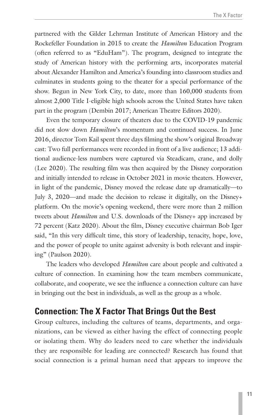partnered with the Gilder Lehrman Institute of American History and the Rockefeller Foundation in 2015 to create the *Hamilton* Education Program (often referred to as "EduHam"). The program, designed to integrate the study of American history with the performing arts, incorporates material about Alexander Hamilton and America's founding into classroom studies and culminates in students going to the theater for a special performance of the show. Begun in New York City, to date, more than 160,000 students from almost 2,000 Title I-eligible high schools across the United States have taken part in the program (Dembin 2017; American Theatre Editors 2020).

Even the temporary closure of theaters due to the COVID-19 pandemic did not slow down *Hamilton*'s momentum and continued success. In June 2016, director Tom Kail spent three days filming the show's original Broadway cast: Two full performances were recorded in front of a live audience; 13 additional audience-less numbers were captured via Steadicam, crane, and dolly (Lee 2020). The resulting film was then acquired by the Disney corporation and initially intended to release in October 2021 in movie theaters. However, in light of the pandemic, Disney moved the release date up dramatically—to July 3, 2020—and made the decision to release it digitally, on the Disney+ platform. On the movie's opening weekend, there were more than 2 million tweets about *Hamilton* and U.S. downloads of the Disney+ app increased by 72 percent (Katz 2020). About the film, Disney executive chairman Bob Iger said, "In this very difficult time, this story of leadership, tenacity, hope, love, and the power of people to unite against adversity is both relevant and inspiring" (Paulson 2020).

The leaders who developed *Hamilton* care about people and cultivated a culture of connection. In examining how the team members communicate, collaborate, and cooperate, we see the influence a connection culture can have in bringing out the best in individuals, as well as the group as a whole.

# **Connection: The X Factor That Brings Out the Best**

Group cultures, including the cultures of teams, departments, and organizations, can be viewed as either having the effect of connecting people or isolating them. Why do leaders need to care whether the individuals they are responsible for leading are connected? Research has found that social connection is a primal human need that appears to improve the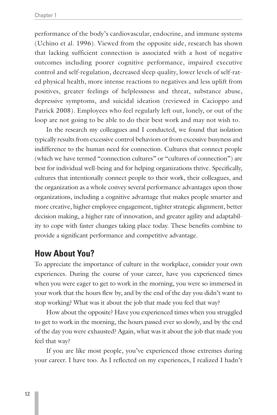performance of the body's cardiovascular, endocrine, and immune systems (Uchino et al. 1996). Viewed from the opposite side, research has shown that lacking sufficient connection is associated with a host of negative outcomes including poorer cognitive performance, impaired executive control and self-regulation, decreased sleep quality, lower levels of self-rated physical health, more intense reactions to negatives and less uplift from positives, greater feelings of helplessness and threat, substance abuse, depressive symptoms, and suicidal ideation (reviewed in Cacioppo and Patrick 2008). Employees who feel regularly left out, lonely, or out of the loop are not going to be able to do their best work and may not wish to.

In the research my colleagues and I conducted, we found that isolation typically results from excessive control behaviors or from excessive busyness and indifference to the human need for connection. Cultures that connect people (which we have termed "connection cultures" or "cultures of connection") are best for individual well-being and for helping organizations thrive. Specifically, cultures that intentionally connect people to their work, their colleagues, and the organization as a whole convey several performance advantages upon those organizations, including a cognitive advantage that makes people smarter and more creative, higher employee engagement, tighter strategic alignment, better decision making, a higher rate of innovation, and greater agility and adaptability to cope with faster changes taking place today. These benefits combine to provide a significant performance and competitive advantage.

# **How About You?**

To appreciate the importance of culture in the workplace, consider your own experiences. During the course of your career, have you experienced times when you were eager to get to work in the morning, you were so immersed in your work that the hours flew by, and by the end of the day you didn't want to stop working? What was it about the job that made you feel that way?

How about the opposite? Have you experienced times when you struggled to get to work in the morning, the hours passed ever so slowly, and by the end of the day you were exhausted? Again, what was it about the job that made you feel that way?

If you are like most people, you've experienced those extremes during your career. I have too. As I reflected on my experiences, I realized I hadn't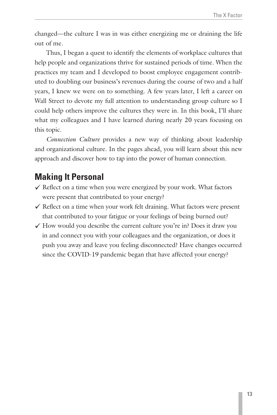changed—the culture I was in was either energizing me or draining the life out of me.

Thus, I began a quest to identify the elements of workplace cultures that help people and organizations thrive for sustained periods of time. When the practices my team and I developed to boost employee engagement contributed to doubling our business's revenues during the course of two and a half years, I knew we were on to something. A few years later, I left a career on Wall Street to devote my full attention to understanding group culture so I could help others improve the cultures they were in. In this book, I'll share what my colleagues and I have learned during nearly 20 years focusing on this topic.

*Connection Culture* provides a new way of thinking about leadership and organizational culture. In the pages ahead, you will learn about this new approach and discover how to tap into the power of human connection.

# **Making It Personal**

- $\checkmark$  Reflect on a time when you were energized by your work. What factors were present that contributed to your energy?
- $\checkmark$  Reflect on a time when your work felt draining. What factors were present that contributed to your fatigue or your feelings of being burned out?
- $\checkmark$  How would you describe the current culture you're in? Does it draw you in and connect you with your colleagues and the organization, or does it push you away and leave you feeling disconnected? Have changes occurred since the COVID-19 pandemic began that have affected your energy?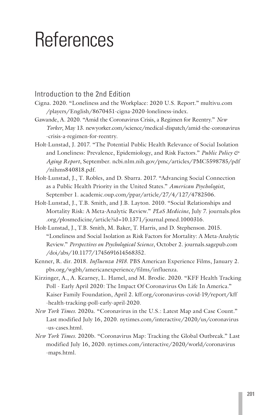# <span id="page-30-0"></span>References

# Introduction to the 2nd Edition

- Cigna. 2020. "Loneliness and the Workplace: 2020 U.S. Report." multivu.com /players/English/8670451-cigna-2020-loneliness-index.
- Gawande, A. 2020. "Amid the Coronavirus Crisis, a Regimen for Reentry." *New Yorker*, May 13. newyorker.com/science/medical-dispatch/amid-the-coronavirus -crisis-a-regimen-for-reentry.
- Holt-Lunstad, J. 2017. "The Potential Public Health Relevance of Social Isolation and Loneliness: Prevalence, Epidemiology, and Risk Factors." *Public Policy & Aging Report*, September. ncbi.nlm.nih.gov/pmc/articles/PMC5598785/pdf /nihms840818.pdf.
- Holt-Lunstad, J., T. Robles, and D. Sbarra. 2017. "Advancing Social Connection as a Public Health Priority in the United States." *American Psychologist*, September 1. academic.oup.com/ppar/article/27/4/127/4782506.
- Holt-Lunstad, J., T.B. Smith, and J.B. Layton. 2010. "Social Relationships and Mortality Risk: A Meta-Analytic Review." *PLoS Medicine*, July 7. journals.plos .org/plosmedicine/article?id=10.1371/journal.pmed.1000316.
- Holt-Lunstad, J., T.B. Smith, M. Baker, T. Harris, and D. Stephenson. 2015. "Loneliness and Social Isolation as Risk Factors for Mortality: A Meta-Analytic Review." *Perspectives on Psychological Science*, October 2. journals.sagepub.com /doi/abs/10.1177/1745691614568352.
- Kenner, R. dir. 2018. *Influenza 1918*. PBS American Experience Films, January 2. pbs.org/wgbh/americanexperience/films/influenza.
- Kirzinger, A., A. Kearney, L. Hamel, and M. Brodie. 2020. "KFF Health Tracking Poll - Early April 2020: The Impact Of Coronavirus On Life In America." Kaiser Family Foundation, April 2. kff.org/coronavirus-covid-19/report/kff -health-tracking-poll-early-april-2020.
- *New York Times*. 2020a. "Coronavirus in the U.S.: Latest Map and Case Count." Last modified July 16, 2020. nytimes.com/interactive/2020/us/coronavirus -us-cases.html.
- *New York Times*. 2020b. "Coronavirus Map: Tracking the Global Outbreak." Last modified July 16, 2020. nytimes.com/interactive/2020/world/coronavirus -maps.html.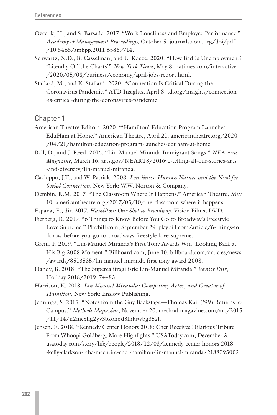- Ozcelik, H., and S. Barsade. 2017. "Work Loneliness and Employee Performance." *Academy of Management Proceedings,* October 5. journals.aom.org/doi/pdf /10.5465/ambpp.2011.65869714.
- Schwartz, N.D., B. Casselman, and E. Koeze. 2020. "How Bad Is Unemployment? 'Literally Off the Charts'" *New York Times*, May 8. nytimes.com/interactive /2020/05/08/business/economy/april-jobs-report.html.
- Stallard, M., and K. Stallard. 2020. "Connection Is Critical During the Coronavirus Pandemic." ATD Insights, April 8. td.org/insights/connection -is-critical-during-the-coronavirus-pandemic

- American Theatre Editors. 2020. "'Hamilton' Education Program Launches EduHam at Home." American Theatre, April 21. americantheatre.org/2020 /04/21/hamilton-education-program-launches-eduham-at-home.
- Ball, D., and J. Reed. 2016. "Lin-Manuel Miranda Immigrant Songs." *NEA Arts Magazine*, March 16. arts.gov/NEARTS/2016v1-telling-all-our-stories-arts -and-diversity/lin-manuel-miranda.
- Cacioppo, J.T., and W. Patrick. 2008. *Loneliness: Human Nature and the Need for Social Connection*. New York: W.W. Norton & Company.
- Dembin, R.M. 2017. "The Classroom Where It Happens." American Theatre, May 10. americantheatre.org/2017/05/10/the-classroom-where-it-happens.
- Espana, E., dir. 2017. *Hamilton: One Shot to Broadway*. Vision Films, DVD.
- Fierberg, R. 2019. "6 Things to Know Before You Go to Broadway's Freestyle Love Supreme." Playbill.com, September 29. playbill.com/article/6-things-to -know-before-you-go-to-broadways-freestyle-love-supreme.
- Grein, P. 2019. "Lin-Manuel Miranda's First Tony Awards Win: Looking Back at His Big 2008 Moment." Billboard.com, June 10. billboard.com/articles/news /awards/8513535/lin-manuel-miranda-first-tony-award-2008.
- Handy, B. 2018. "The Supercalifragilistic Lin-Manuel Miranda." *Vanity Fair*, Holiday 2018/2019, 74–83.
- Harrison, K. 2018. *Lin-Manuel Miranda: Composter, Actor, and Creator of Hamilton*. New York: Enslow Publishing.
- Jennings, S. 2015. "Notes from the Guy Backstage—Thomas Kail ('99) Returns to Campus." *Methods Magazine*, November 20. method-magazine.com/art/2015 /11/14/ii2mcxhg2yv3bkoh6d3fnkswbg352l.
- Jensen, E. 2018. "Kennedy Center Honors 2018: Cher Receives Hilarious Tribute From Whoopi Goldberg, More Highlights." USAToday.com, December 3. usatoday.com/story/life/people/2018/12/03/kennedy-center-honors-2018 -kelly-clarkson-reba-mcentire-cher-hamilton-lin-manuel-miranda/2188095002.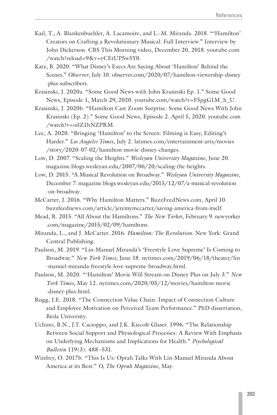- Kail, T., A. Blankenbuehler, A. Lacamoire, and L.-M. Miranda. 2018. "'Hamilton' Creators on Crafting a Revolutionary Musical: Full Interview." Interview by John Dickerson. CBS This Morning video, December 20, 2018. youtube.com /watch?reload=9&v=yCEtUP5w5Y0.
- Katz, B. 2020. "What Disney's Execs Are Saying About 'Hamilton' Behind the Scenes." *Observer*, July 10. observer.com/2020/07/hamilton-viewership-disney -plus-subscribers.
- Krasinski, J. 2020a. "Some Good News with John Krasinski Ep. 1." Some Good News, Episode 1, March 29, 2020. youtube.com/watch?v=F5pgG1M\_h\_U.
- Krasinski, J. 2020b. "Hamilton Cast Zoom Surprise: Some Good News With John Krasinski (Ep. 2)." Some Good News, Episode 2. April 5, 2020. youtube.com /watch?v=oilZ1hNZPRM.
- Lee, A. 2020. "Bringing 'Hamilton' to the Screen: Filming is Easy, Editing's Harder." *Los Angeles Times*, July 2. latimes.com/entertainment-arts/movies /story/2020-07-02/hamilton-movie-disney-changes.
- Low, D. 2007. "Scaling the Heights." *Wesleyan University Magazine*, June 20. magazine.blogs.wesleyan.edu/2007/06/20/scaling-the-heights.
- Low, D. 2015. "A Musical Revolution on Broadway." *Wesleyan University Magazine*, December 7. magazine.blogs.wesleyan.edu/2015/12/07/a-musical-revolution -on-broadway.
- McCarter, J. 2016. "Why Hamilton Matters." BuzzFeedNews.com, April 10. buzzfeednews.com/article/jeremymccarter/saving-america-from-itself.
- Mead, R. 2015. "All About the Hamiltons." *The New Yorke*r, February 9. newyorker .com/magazine/2015/02/09/hamiltons.
- Miranda, L., and J. McCarter. 2016. *Hamilton: The Revolution*. New York: Grand Central Publishing.
- Paulson, M. 2019. "Lin-Manuel Miranda's 'Freestyle Love Supreme' Is Coming to Broadway." *New York Times*, June 18. nytimes.com/2019/06/18/theater/lin -manuel-miranda-freestyle-love-supreme-broadway.html.
- Paulson, M. 2020. "'Hamilton' Movie Will Stream on Disney Plus on July 3." *New York Times*, May 12. nytimes.com/2020/05/12/movies/hamilton-movie -disney-plus.html.
- Rugg, J.E. 2018. "The Connection Value Chain: Impact of Connection Culture and Employee Motivation on Perceived Team Performance." PhD dissertation, Biola University.
- Uchino, B.N., J.T. Cacioppo, and J.K. Kiecolt-Glaser. 1996. "The Relationship Between Social Support and Physiological Processes: A Review With Emphasis on Underlying Mechanisms and Implications for Health." *Psychological Bulletin* 119(3): 488–531.
- Winfrey, O. 2017b. "This Is Us: Oprah Talks With Lin-Manuel Miranda About America at its Best." *O, The Oprah Magazine*, May.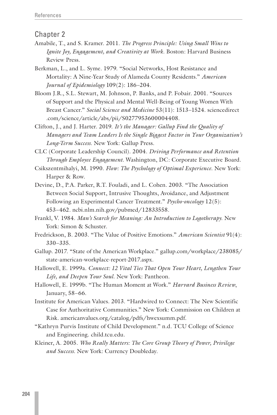- Amabile, T., and S. Kramer. 2011. *The Progress Principle: Using Small Wins to Ignite Joy, Engagement, and Creativity at Work*. Boston: Harvard Business Review Press.
- Berkman, L., and L. Syme. 1979. "Social Networks, Host Resistance and Mortality: A Nine-Year Study of Alameda County Residents." *American Journal of Epidemiology* 109(2): 186–204.
- Bloom J.R., S.L. Stewart, M. Johnson, P. Banks, and P. Fobair. 2001. "Sources of Support and the Physical and Mental Well-Being of Young Women With Breast Cancer." *Social Science and Medicine* 53(11): 1513–1524. sciencedirect .com/science/article/abs/pii/S0277953600004408.
- Clifton, J., and J. Harter. 2019. *It's the Manager: Gallup Find the Quality of Managers and Team Leaders Is the Single Biggest Factor in Your Organization's Long-Term Success*. New York: Gallup Press.
- CLC (Corporate Leadership Council). 2004. *Driving Performance and Retention Through Employee Engagement*. Washington, DC: Corporate Executive Board.
- Csikszentmihalyi, M. 1990. *Flow: The Psychology of Optimal Experience*. New York: Harper & Row.
- Devine, D., P.A. Parker, R.T. Fouladi, and L. Cohen. 2003. "The Association Between Social Support, Intrusive Thoughts, Avoidance, and Adjustment Following an Experimental Cancer Treatment." *Psycho-oncology* 12(5): 453–462. ncbi.nlm.nih.gov/pubmed/12833558.
- Frankl, V. 1984. *Man's Search for Meaning: An Introduction to Logotherapy*. New York: Simon & Schuster.
- Fredrickson, B. 2003. "The Value of Positive Emotions." *American Scientist* 91(4): 330–335.
- Gallup. 2017. "State of the American Workplace." gallup.com/workplace/238085/ state-american-workplace-report-2017.aspx.
- Hallowell, E. 1999a. *Connect: 12 Vital Ties That Open Your Heart, Lengthen Your Life, and Deepen Your Soul*. New York: Pantheon.
- Hallowell, E. 1999b. "The Human Moment at Work." *Harvard Business Review*, January, 58–66.
- Institute for American Values. 2013. "Hardwired to Connect: The New Scientific Case for Authoritative Communities." New York: Commission on Children at Risk. americanvalues.org/catalog/pdfs/hwexsumm.pdf.
- "Kathryn Purvis Institute of Child Development." n.d. TCU College of Science and Engineering. child.tcu.edu.
- Kleiner, A. 2005. *Who Really Matters: The Core Group Theory of Power, Privilege and Success*. New York: Currency Doubleday.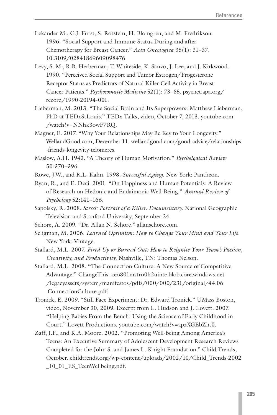- Lekander M., C.J. Fürst, S. Rotstein, H. Blomgren, and M. Fredrikson. 1996. "Social Support and Immune Status During and after Chemotherapy for Breast Cancer." *Acta Oncologica* 35(1): 31–37. 10.3109/02841869609098476.
- Levy, S. M., R.B. Herberman, T. Whiteside, K. Sanzo, J. Lee, and J. Kirkwood. 1990. "Perceived Social Support and Tumor Estrogen/Progesterone Receptor Status as Predictors of Natural Killer Cell Activity in Breast Cancer Patients." *Psychosomatic Medicine* 52(1): 73–85. psycnet.apa.org/ record/1990-20194-001.
- Lieberman, M. 2013. "The Social Brain and Its Superpowers: Matthew Lieberman, PhD at TEDxStLouis." TEDx Talks, video, October 7, 2013. youtube.com /watch?v=NNhk3owF7RQ.
- Magner, E. 2017. "Why Your Relationships May Be Key to Your Longevity." WellandGood.com, December 11. wellandgood.com/good-advice/relationships -friends-longevity-telomeres.
- Maslow, A.H. 1943. "A Theory of Human Motivation." *Psychological Review* 50:370–396.
- Rowe, J.W., and R.L. Kahn. 1998. *Successful Aging*. New York: Pantheon.
- Ryan, R., and E. Deci. 2001. "On Happiness and Human Potentials: A Review of Research on Hedonic and Eudaimonic Well-Being." *Annual Review of Psychology* 52:141–166.
- Sapolsky, R. 2008. *Stress: Portrait of a Killer. Documentary*. National Geographic Television and Stanford University, September 24.
- Schore, A. 2009. "Dr. Allan N. Schore." allanschore.com.
- Seligman, M. 2006. *Learned Optimism: How to Change Your Mind and Your Life*. New York: Vintage.
- Stallard, M.L. 2007. *Fired Up or Burned Out: How to Reignite Your Team's Passion, Creativity, and Productivity*. Nashville, TN: Thomas Nelson.
- Stallard, M.L. 2008. "The Connection Culture: A New Source of Competitive Advantage." ChangeThis. ceo801mstro0h2uinte.blob.core.windows.net /legacyassets/system/manifestos/pdfs/000/000/231/original/44.06 .ConnectionCulture.pdf.
- Tronick, E. 2009. "Still Face Experiment: Dr. Edward Tronick." UMass Boston, video, November 30, 2009. Excerpt from L. Hudson and J. Lovett. 2007. "Helping Babies From the Bench: Using the Science of Early Childhood in Court." Lovett Productions. youtube.com/watch?v=apzXGEbZht0.
- Zaff, J.F., and K.A. Moore. 2002. "Promoting Well-being Among America's Teens: An Executive Summary of Adolescent Development Research Reviews Completed for the John S. and James L. Knight Foundation." Child Trends, October. childtrends.org/wp-content/uploads/2002/10/Child\_Trends-2002 \_10\_01\_ES\_TeenWellbeing.pdf.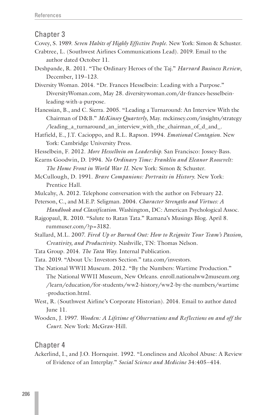- Covey, S. 1989. *Seven Habits of Highly Effective People*. New York: Simon & Schuster.
- Crabtree, L. (Southwest Airlines Communications Lead). 2019. Email to the author dated October 11.
- Deshpande, R. 2011. "The Ordinary Heroes of the Taj." *Harvard Business Review*, December, 119–123.
- Diversity Woman. 2014. "Dr. Frances Hesselbein: Leading with a Purpose." DiversityWoman.com, May 28. diversitywoman.com/dr-frances-hesselbeinleading-with-a-purpose.
- Hanessian, B., and C. Sierra. 2005. "Leading a Turnaround: An Interview With the Chairman of D&B." *McKinsey Quarterly*, May. mckinsey.com/insights/strategy /leading\_a\_turnaround\_an\_interview\_with\_the\_chairman\_of\_d\_and\_.
- Hatfield, E., J.T. Cacioppo, and R.L. Rapson. 1994. *Emotional Contagion*. New York: Cambridge University Press.
- Hesselbein, F. 2012. *More Hesselbein on Leadership*. San Francisco: Jossey-Bass.
- Kearns Goodwin, D. 1994. *No Ordinary Time: Franklin and Eleanor Roosevelt: The Home Front in World War II*. New York: Simon & Schuster.
- McCullough, D. 1991. *Brave Companions: Portraits in History*. New York: Prentice Hall.
- Mulcahy, A. 2012. Telephone conversation with the author on February 22.
- Peterson, C., and M.E.P. Seligman. 2004. *Character Strengths and Virtues: A Handbook and Classification*. Washington, DC: American Psychological Assoc.
- Rajgopaul, R. 2010. "Salute to Ratan Tata." Ramana's Musings Blog. April 8. rummuser.com/?p=3182.
- Stallard, M.L. 2007. *Fired Up or Burned Out: How to Reignite Your Team's Passion, Creativity, and Productivity*. Nashville, TN: Thomas Nelson.
- Tata Group. 2014. *The Tata Way*. Internal Publication.
- Tata. 2019. "About Us: Investors Section." tata.com/investors.

The National WWII Museum. 2012. "By the Numbers: Wartime Production." The National WWII Museum, New Orleans. enroll.nationalww2museum.org /learn/education/for-students/ww2-history/ww2-by-the-numbers/wartime -production.html.

- West, R. (Southwest Airline's Corporate Historian). 2014. Email to author dated June 11.
- Wooden, J. 1997. *Wooden: A Lifetime of Observations and Reflections on and off the Court*. New York: McGraw-Hill.

Chapter 4

Ackerlind, I., and J.O. Hornquist. 1992. "Loneliness and Alcohol Abuse: A Review of Evidence of an Interplay." *Social Science and Medicine* 34:405–414.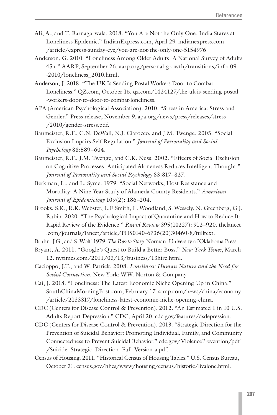- Ali, A., and T. Barnagarwala. 2018. "You Are Not the Only One: India Stares at Loneliness Epidemic." IndianExpress.com, April 29. indianexpress.com /article/express-sunday-eye/you-are-not-the-only-one-5154976.
- Anderson, G. 2010. "Loneliness Among Older Adults: A National Survey of Adults 45+." AARP, September 26. aarp.org/personal-growth/transitions/info-09 -2010/loneliness\_2010.html.
- Anderson, J. 2018. "The UK Is Sending Postal Workers Door to Combat Loneliness." QZ.com, October 16. qz.com/1424127/the-uk-is-sending-postal -workers-door-to-door-to-combat-loneliness.
- APA (American Psychological Association). 2010. "Stress in America: Stress and Gender." Press release, November 9. apa.org/news/press/releases/stress /2010/gender-stress.pdf.
- Baumeister, R.F., C.N. DeWall, N.J. Ciarocco, and J.M. Twenge. 2005. "Social Exclusion Impairs Self-Regulation." *Journal of Personality and Social Psychology* 88:589–604.
- Baumeister, R.F., J.M. Twenge, and C.K. Nuss. 2002. "Effects of Social Exclusion on Cognitive Processes: Anticipated Aloneness Reduces Intelligent Thought." *Journal of Personality and Social Psychology* 83:817–827.
- Berkman, L., and L. Syme. 1979. "Social Networks, Host Resistance and Mortality: A Nine-Year Study of Alameda County Residents." *American Journal of Epidemiology* 109(2): 186–204.
- Brooks, S.K., R.K. Webster, L.E Smith, L. Woodland, S. Wessely, N. Greenberg, G.J. Rubin. 2020. "The Psychological Impact of Quarantine and How to Reduce It: Rapid Review of the Evidence." *Rapid Review* 395(10227): 912–920. thelancet .com/journals/lancet/article/PIIS0140-6736(20)30460-8/fulltext.
- Bruhn, J.G., and S. Wolf. 1979. *The Roseto Story*. Norman: University of Oklahoma Press.
- Bryant, A. 2011. "Google's Quest to Build a Better Boss." *New York Times*, March 12. nytimes.com/2011/03/13/business/13hire.html.
- Cacioppo, J.T., and W. Patrick. 2008. *Loneliness: Human Nature and the Need for Social Connection*. New York: W.W. Norton & Company.
- Cai, J. 2018. "Loneliness: The Latest Economic Niche Opening Up in China." SouthChinaMorningPost.com, February 17. scmp.com/news/china/economy /article/2133317/loneliness-latest-economic-niche-opening-china.
- CDC (Centers for Disease Control & Prevention). 2012. "An Estimated 1 in 10 U.S. Adults Report Depression." CDC, April 20. cdc.gov/features/dsdepression.
- CDC (Centers for Disease Control & Prevention). 2013. "Strategic Direction for the Prevention of Suicidal Behavior: Promoting Individual, Family, and Community Connectedness to Prevent Suicidal Behavior." cdc.gov/ViolencePrevention/pdf /Suicide\_Strategic\_Direction\_Full\_Version-a.pdf.
- Census of Housing. 2011. "Historical Census of Housing Tables." U.S. Census Bureau, October 31. census.gov/hhes/www/housing/census/historic/livalone.html.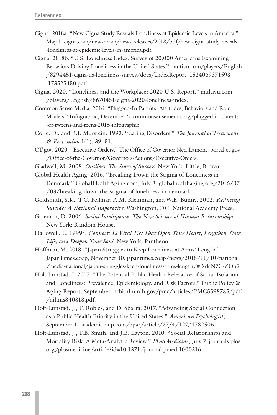- Cigna. 2018a. "New Cigna Study Reveals Loneliness at Epidemic Levels in America." May 1. cigna.com/newsroom/news-releases/2018/pdf/new-cigna-study-reveals -loneliness-at-epidemic-levels-in-america.pdf.
- Cigna. 2018b. "U.S. Loneliness Index: Survey of 20,000 Americans Examining Behaviors Driving Loneliness in the United States." multivu.com/players/English /8294451-cigna-us-loneliness-survey/docs/IndexReport\_1524069371598 -173525450.pdf.
- Cigna. 2020. "Loneliness and the Workplace: 2020 U.S. Report." multivu.com /players/English/8670451-cigna-2020-loneliness-index.
- Common Sense Media. 2016. "Plugged-In Parents: Attitudes, Behaviors and Role Models." Infographic, December 6. commonsensemedia.org/plugged-in-parents -of-tweens-and-teens-2016-infographic.
- Coric, D., and B.I. Murstein. 1993. "Eating Disorders." *The Journal of Treatment & Prevention* 1(1): 39–51.
- CT.gov. 2020. "Executive Orders." The Office of Governor Ned Lamont. portal.ct.gov /Office-of-the-Governor/Governors-Actions/Executive-Orders.
- Gladwell, M. 2008. *Outliers: The Story of Success*. New York: Little, Brown.
- Global Health Aging. 2016. "Breaking Down the Stigma of Loneliness in Denmark." GlobalHealthAging.com, July 3. globalhealthaging.org/2016/07 /03/breaking-down-the-stigma-of-loneliness-in-denmark.
- Goldsmith, S.K., T.C. Pellmar, A.M. Kleinman, and W.E. Bunny. 2002. *Reducing Suicide: A National Imperative*. Washington, DC: National Academy Press.
- Goleman, D. 2006. *Social Intelligence: The New Science of Human Relationships*. New York: Random House.
- Hallowell, E. 1999a. *Connect: 12 Vital Ties That Open Your Heart, Lengthen Your Life, and Deepen Your Soul*. New York: Pantheon.
- Hoffman, M. 2018. "Japan Struggles to Keep Loneliness at Arms' Length." JapanTimes.co.jp, November 10. japantimes.co.jp/news/2018/11/10/national /media-national/japan-struggles-keep-loneliness-arms-length/#.XdcN7C-ZOu5.
- Holt-Lunstad, J. 2017. "The Potential Public Health Relevance of Social Isolation and Loneliness: Prevalence, Epidemiology, and Risk Factors." Public Policy & Aging Report, September. ncbi.nlm.nih.gov/pmc/articles/PMC5598785/pdf /nihms840818.pdf.
- Holt-Lunstad, J., T. Robles, and D. Sbarra. 2017. "Advancing Social Connection as a Public Health Priority in the United States." *American Psychologist*, September 1. academic.oup.com/ppar/article/27/4/127/4782506.
- Holt-Lunstad, J., T.B. Smith, and J.B. Layton. 2010. "Social Relationships and Mortality Risk: A Meta-Analytic Review." *PLoS Medicine*, July 7. journals.plos. org/plosmedicine/article?id=10.1371/journal.pmed.1000316.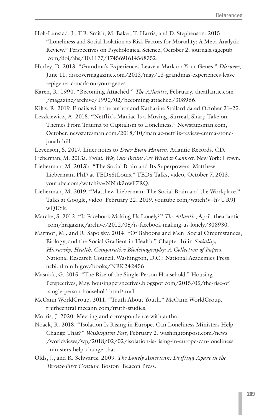- Holt-Lunstad, J., T.B. Smith, M. Baker, T. Harris, and D. Stephenson. 2015. "Loneliness and Social Isolation as Risk Factors for Mortality: A Meta-Analytic Review." Perspectives on Psychological Science, October 2. journals.sagepub .com/doi/abs/10.1177/1745691614568352.
- Hurley, D. 2013. "Grandma's Experiences Leave a Mark on Your Genes." *Discover*, June 11. discovermagazine.com/2013/may/13-grandmas-experiences-leave -epigenetic-mark-on-your-genes.
- Karen, R. 1990. "Becoming Attached." *The Atlantic*, February. theatlantic.com /magazine/archive/1990/02/becoming-attached/308966.
- Kiltz, R. 2019. Emails with the author and Katharine Stallard dated October 21–25.
- Leszkiewicz, A. 2018. "Netflix's Maniac Is a Moving, Surreal, Sharp Take on Themes From Trauma to Capitalism to Loneliness." Newstatesman.com, October. newstatesman.com/2018/10/maniac-netflix-review-emma-stonejonah-hill.
- Levenson, S. 2017. Liner notes to *Dear Evan Hansen*. Atlantic Records. CD.
- Lieberman, M. 2013a. *Social: Why Our Brains Are Wired to Connect*. New York: Crown.
- Lieberman, M. 2013b. "The Social Brain and Its Superpowers: Matthew Lieberman, PhD at TEDxStLouis." TEDx Talks, video, October 7, 2013. youtube.com/watch?v=NNhk3owF7RQ.
- Lieberman, M. 2019. "Matthew Lieberman: The Social Brain and the Workplace." Talks at Google, video. February 22, 2019. youtube.com/watch?v=h7UR9J wQEYk.
- Marche, S. 2012. "Is Facebook Making Us Lonely?" *The Atlantic*, April. theatlantic .com/magazine/archive/2012/05/is-facebook-making-us-lonely/308930.
- Marmot, M., and R. Sapolsky. 2014. "Of Baboons and Men: Social Circumstances, Biology, and the Social Gradient in Health." Chapter 16 in *Sociality, Hierarchy, Health: Comparative Biodemography: A Collection of Papers*. National Research Council. Washington, D.C.: National Academies Press. ncbi.nlm.nih.gov/books/NBK242456.
- Masnick, G. 2015. "The Rise of the Single-Person Household." Housing Perspectives, May. housingperspectives.blogspot.com/2015/05/the-rise-of -single-person-household.html?m=1.
- McCann WorldGroup. 2011. "Truth About Youth." McCann WorldGroup. truthcentral.mccann.com/truth-studies.
- Morris, J. 2020. Meeting and correspondence with author.
- Noack, R. 2018. "Isolation Is Rising in Europe. Can Loneliness Ministers Help Change That?" *Washington Post*, February 2. washingtonpost.com/news /worldviews/wp/2018/02/02/isolation-is-rising-in-europe-can-loneliness -ministers-help-change-that.
- Olds, J., and R. Schwartz. 2009. *The Lonely American: Drifting Apart in the Twenty-First Century*. Boston: Beacon Press.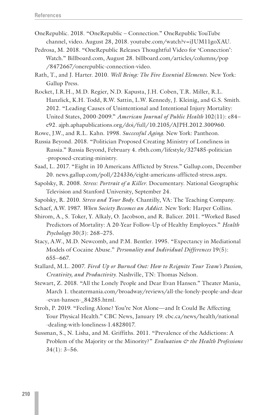- OneRepublic. 2018. "OneRepublic Connection." OneRepublic YouTube channel, video. August 28, 2018. youtube.com/watch?v=iJUM11goXAU.
- Pedrosa, M. 2018. "OneRepublic Releases Thoughtful Video for 'Connection': Watch." Billboard.com, August 28. billboard.com/articles/columns/pop /8472667/onerepublic-connection-video.
- Rath, T., and J. Harter. 2010. *Well Being: The Five Essential Elements*. New York: Gallup Press.
- Rocket, I.R.H., M.D. Regier, N.D. Kapusta, J.H. Coben, T.R. Miller, R.L. Hanzlick, K.H. Todd, R.W. Sattin, L.W. Kennedy, J. Kleinig, and G.S. Smith. 2012. "Leading Causes of Unintentional and Intentional Injury Mortality: United States, 2000-2009." *American Journal of Public Health* 102(11): e84– e92. ajph.aphapublications.org/doi/full/10.2105/AJPH.2012.300960.
- Rowe, J.W., and R.L. Kahn. 1998. *Successful Aging*. New York: Pantheon.
- Russia Beyond. 2018. "Politician Proposed Creating Ministry of Loneliness in Russia." Russia Beyond, February 4. rbth.com/lifestyle/327485-politician -proposed-creating-ministry.
- Saad, L. 2017. "Eight in 10 Americans Afflicted by Stress." Gallup.com, December 20. news.gallup.com/poll/224336/eight-americans-afflicted-stress.aspx.
- Sapolsky, R. 2008. *Stress: Portrait of a Killer*. Documentary. National Geographic Television and Stanford University, September 24.
- Sapolsky, R. 2010. *Stress and Your Body*. Chantilly, VA: The Teaching Company.
- Schaef, A.W. 1987. *When Society Becomes an Addict*. New York: Harper Collins.
- Shirom, A., S. Toker, Y. Alkaly, O. Jacobson, and R. Balicer. 2011. "Worked Based Predictors of Mortality: A 20-Year Follow-Up of Healthy Employees." *Health Psychology* 30(3): 268–275.
- Stacy, A.W., M.D. Newcomb, and P.M. Bentler. 1995. "Expectancy in Mediational Models of Cocaine Abuse." *Personality and Individual Differences* 19(5): 655–667.
- Stallard, M.L. 2007. *Fired Up or Burned Out: How to Reignite Your Team's Passion, Creativity, and Productivity*. Nashville, TN: Thomas Nelson.
- Stewart, Z. 2018. "All the Lonely People and Dear Evan Hansen." Theater Mania, March 1. theatermania.com/broadway/reviews/all-the-lonely-people-and-dear -evan-hansen-\_84285.html.
- Stroh, P. 2019. "Feeling Alone? You're Not Alone—and It Could Be Affecting Your Physical Health." CBC News, January 19. cbc.ca/news/health/national -dealing-with-loneliness-1.4828017.
- Sussman, S., N. Lisha, and M. Griffiths. 2011. "Prevalence of the Addictions: A Problem of the Majority or the Minority?" *Evaluation & the Health Professions*  $34(1): 3-56.$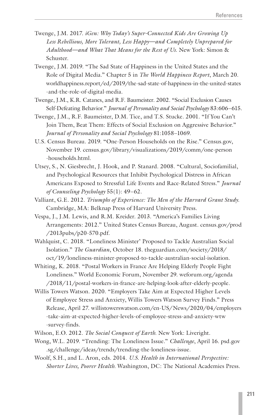- Twenge, J.M. 2017. *iGen: Why Today's Super-Connected Kids Are Growing Up Less Rebellious, More Tolerant, Less Happy—and Completely Unprepared for Adulthood—and What That Means for the Rest of Us*. New York: Simon & Schuster.
- Twenge, J.M. 2019. "The Sad State of Happiness in the United States and the Role of Digital Media." Chapter 5 in *The World Happiness Report*, March 20. worldhappiness.report/ed/2019/the-sad-state-of-happiness-in-the-united-states -and-the-role-of-digital-media.
- Twenge, J.M., K.R. Catanes, and R.F. Baumeister. 2002. "Social Exclusion Causes Self-Defeating Behavior." *Journal of Personality and Social Psychology* 83:606–615.
- Twenge, J.M., R.F. Baumeister, D.M. Tice, and T.S. Stucke. 2001. "If You Can't Join Them, Beat Them: Effects of Social Exclusion on Aggressive Behavior." *Journal of Personality and Social Psychology* 81:1058–1069.
- U.S. Census Bureau. 2019. "One-Person Households on the Rise." Census.gov, November 19. census.gov/library/visualizations/2019/comm/one-person -households.html.
- Utsey, S., N. Giesbrecht, J. Hook, and P. Stanard. 2008. "Cultural, Sociofamilial, and Psychological Resources that Inhibit Psychological Distress in African Americans Exposed to Stressful Life Events and Race-Related Stress." *Journal of Counseling Psychology* 55(1): 49–62.
- Valliant, G.E. 2012. *Triumphs of Experience: The Men of the Harvard Grant Study*. Cambridge, MA: Belknap Press of Harvard University Press.
- Vespa, J., J.M. Lewis, and R.M. Kreider. 2013. "America's Families Living Arrangements: 2012." United States Census Bureau, August. census.gov/prod /2013pubs/p20-570.pdf.
- Wahlquist, C. 2018. "Loneliness Minister' Proposed to Tackle Australian Social Isolation." *The Guardian*, October 18. theguardian.com/society/2018/ oct/19/loneliness-minister-proposed-to-tackle-australian-social-isolation.
- Whiting, K. 2018. "Postal Workers in France Are Helping Elderly People Fight Loneliness." World Economic Forum, November 29. weforum.org/agenda /2018/11/postal-workers-in-france-are-helping-look-after-elderly-people.
- Willis Towers Watson. 2020. "Employers Take Aim at Expected Higher Levels of Employee Stress and Anxiety, Willis Towers Watson Survey Finds." Press Release, April 27. willistowerswatson.com/en-US/News/2020/04/employers -take-aim-at-expected-higher-levels-of-employee-stress-and-anxiety-wtw -survey-finds.
- Wilson, E.O. 2012. *The Social Conquest of Earth*. New York: Liveright.
- Wong, W.L. 2019. "Trending: The Loneliness Issue." *Challenge*, April 16. psd.gov .sg/challenge/ideas/trends/trending-the-loneliness-issue.
- Woolf, S.H., and L. Aron, eds. 2014. *U.S. Health in International Perspective: Shorter Lives, Poorer Health*. Washington, DC: The National Academies Press.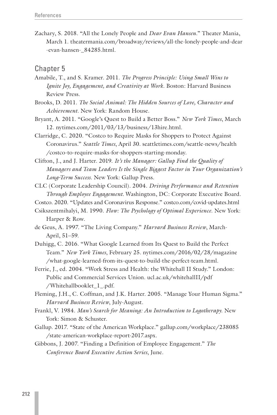Zachary, S. 2018. "All the Lonely People and *Dear Evan Hansen*." Theater Mania, March 1. theatermania.com/broadway/reviews/all-the-lonely-people-and-dear -evan-hansen-\_84285.html.

- Amabile, T., and S. Kramer. 2011. *The Progress Principle: Using Small Wins to Ignite Joy, Engagement, and Creativity at Work*. Boston: Harvard Business Review Press.
- Brooks, D. 2011. *The Social Animal: The Hidden Sources of Love, Character and Achievement*. New York: Random House.
- Bryant, A. 2011. "Google's Quest to Build a Better Boss." *New York Times*, March 12. nytimes.com/2011/03/13/business/13hire.html.
- Clarridge, C. 2020. "Costco to Require Masks for Shoppers to Protect Against Coronavirus." *Seattle Times*, April 30. seattletimes.com/seattle-news/health /costco-to-require-masks-for-shoppers-starting-monday.
- Clifton, J., and J. Harter. 2019. *It's the Manager: Gallup Find the Quality of Managers and Team Leaders Is the Single Biggest Factor in Your Organization's Long-Term Success*. New York: Gallup Press.
- CLC (Corporate Leadership Council). 2004. *Driving Performance and Retention Through Employee Engagement.* Washington, DC: Corporate Executive Board.
- Costco. 2020. "Updates and Coronavirus Response." costco.com/covid-updates.html
- Csikszentmihalyi, M. 1990. *Flow: The Psychology of Optimal Experience*. New York: Harper & Row.
- de Geus, A. 1997. "The Living Company." *Harvard Business Review*, March-April, 51–59.
- Duhigg, C. 2016. "What Google Learned from Its Quest to Build the Perfect Team." *New York Times*, February 25. nytimes.com/2016/02/28/magazine /what-google-learned-from-its-quest-to-build-the-perfect-team.html.
- Ferrie, J., ed. 2004. "Work Stress and Health: the Whitehall II Study." London: Public and Commercial Services Union. ucl.ac.uk/whitehallII/pdf /Whitehallbooklet\_1\_.pdf.
- Fleming, J.H., C. Coffman, and J.K. Harter. 2005. "Manage Your Human Sigma." *Harvard Business Review*, July-August.
- Frankl, V. 1984. *Man's Search for Meaning: An Introduction to Logotherapy*. New York: Simon & Schuster.
- Gallup. 2017. "State of the American Workplace." gallup.com/workplace/238085 /state-american-workplace-report-2017.aspx.
- Gibbons, J. 2007. "Finding a Definition of Employee Engagement." *The Conference Board Executive Action Series*, June.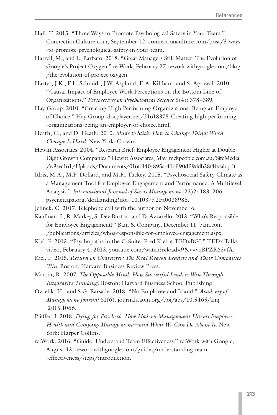- Hall, T. 2015. "Three Ways to Promote Psychological Safety in Your Team." ConnectionCulture.com, September 12. connectionculture.com/post/3-ways -to-promote-psychological-safety-in-your-team.
- Harrell, M., and L. Barbato. 2018. "Great Managers Still Matter: The Evolution of Google's Project Oxygen." re:Work, February 27. rework.withgoogle.com/blog /the-evolution-of-project-oxygen.
- Harter, J.K., F.L. Schmidt, J.W. Asplund, E.A. Killham, and S. Agrawal. 2010. "Causal Impact of Employee Work Perceptions on the Bottom Line of Organizations." *Perspectives on Psychological Science* 5(4): 378–389.
- Hay Group. 2010. "Creating High Performing Organizations: Being an Employer of Choice." Hay Group. docplayer.net/21618378-Creating-high-performing -organizations-being-an-employer-of-choice.html.
- Heath, C., and D. Heath. 2010. *Made to Stick: How to Change Things When Change Is Hard*. New York: Crown.
- Hewitt Associates. 2004. "Research Brief: Employee Engagement Higher at Double-Digit Growth Companies." Hewitt Associates, May. mckpeople.com.au/SiteMedia /w3svc161/Uploads/Documents/016fc140-895a-41bf-90df-9ddb28f4bdab.pdf.
- Idris, M.A., M.F. Dollard, and M.R. Tuckey. 2015. "Psychosocial Safety Climate as a Management Tool for Employee Engagement and Performance: A Multilevel Analysis." *International Journal of Stress Management* (22)2: 183–206. psycnet.apa.org/doiLanding?doi=10.1037%2Fa0038986.
- Jelinek, C. 2017. Telephone call with the author on November 6.
- Kaufman, J., R. Markey, S. Dey Burton, and D. Azzarello. 2013. "Who's Responsible for Employee Engagement?" Bain & Company, December 11. bain.com /publications/articles/whos-responsible-for-employee-engagement.aspx.
- Kiel, F. 2013. "Psychopaths in the C-Suite: Fred Kiel at TEDxBGI." TEDx Talks, video, February 4, 2013. youtube.com/watch?reload=9&v=vqBPZR63vfA.
- Kiel, F. 2015. *Return on Character: The Real Reason Leaders and Their Companies Win*. Boston: Harvard Business Review Press.
- Martin, R. 2007. *The Opposable Mind: How Successful Leaders Win Through Integrative Thinking*. Boston: Harvard Business School Publishing.
- Ozcelik, H., and S.G. Barsade. 2018. "No Employee and Island." *Academy of Management Journal* 61(6). journals.aom.org/doi/abs/10.5465/amj .2015.1066.
- Pfeffer, J. 2018. *Dying for Paycheck: How Modern Management Harms Employee Health and Company Management—and What We Can Do About It*. New York: Harper Collins.
- re:Work. 2016. "Guide: Understand Team Effectiveness." re:Work with Google, August 13. rework.withgoogle.com/guides/understanding-team -effectiveness/steps/introduction.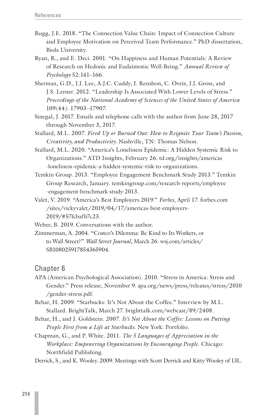- Rugg, J.E. 2018. "The Connection Value Chain: Impact of Connection Culture and Employee Motivation on Perceived Team Performance." PhD dissertation, Biola University.
- Ryan, R., and E. Deci. 2001. "On Happiness and Human Potentials: A Review of Research on Hedonic and Eudaimonic Well-Being." *Annual Review of Psychology* 52:141–166.
- Sherman, G.D., J.J. Lee, A.J.C. Cuddy, J. Renshon, C. Oveis, J.J. Gross, and J.S. Lerner. 2012. "Leadership Is Associated With Lower Levels of Stress." *Proceedings of the National Academy of Sciences of the United States of America* 109(44): 17903–17907.
- Sinegal, J. 2017. Emails and telephone calls with the author from June 28, 2017 through November 3, 2017.
- Stallard, M.L. 2007. *Fired Up or Burned Out: How to Reignite Your Team's Passion, Creativity, and Productivity*. Nashville, TN: Thomas Nelson.
- Stallard, M.L. 2020. "America's Loneliness Epidemic: A Hidden Systemic Risk to Organizations." ATD Insights, February 26. td.org/insights/americas -loneliness-epidemic-a-hidden-systemic-risk-to-organizations.
- Temkin Group. 2013. "Employee Engagement Benchmark Study 2013." Temkin Group Research, January. temkingroup.com/research-reports/employee -engagement-benchmark-study-2013.
- Valet, V. 2019. "America's Best Employers 2019." *Forbes*, April 17. forbes.com /sites/vickyvalet/2019/04/17/americas-best-employers-2019/#57fcbafb7c23.
- Weber, B. 2019. Conversations with the author.
- Zimmerman, A. 2004. "Costco's Dilemma: Be Kind to Its Workers, or to Wall Street?" *Wall Street Journal*, March 26. wsj.com/articles/ SB108025917854365904.

- APA (American Psychological Association). 2010. "Stress in America: Stress and Gender." Press release, November 9. apa.org/news/press/releases/stress/2010 /gender-stress.pdf.
- Behar, H. 2009. "Starbucks: It's Not About the Coffee." Interview by M.L. Stallard. BrightTalk, March 27. brighttalk.com/webcast/89/2408.
- Behar, H., and J. Goldstein. 2007. *It's Not About the Coffee: Lessons on Putting People First from a Life at Starbucks*. New York: Portfolio.
- Chapman, G., and P. White. 2011. *The 5 Languages of Appreciation in the Workplace: Empowering Organizations by Encouraging People*. Chicago: Northfield Publishing.
- Derrick, S., and K. Wooley. 2009. Meetings with Scott Derrick and Kitty Wooley of 13L.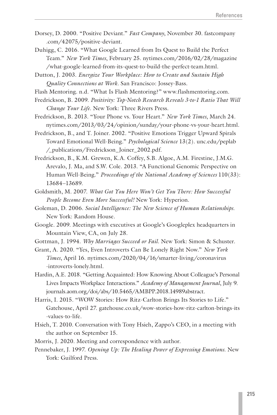- Dorsey, D. 2000. "Positive Deviant." *Fast Company*, November 30. fastcompany .com/42075/positive-deviant.
- Duhigg, C. 2016. "What Google Learned from Its Quest to Build the Perfect Team." *New York Times*, February 25. nytimes.com/2016/02/28/magazine /what-google-learned-from-its-quest-to-build-the-perfect-team.html.
- Dutton, J. 2003. *Energize Your Workplace: How to Create and Sustain High Quality Connections at Work*. San Francisco: Jossey-Bass.
- Flash Mentoring. n.d. "What Is Flash Mentoring?" www.flashmentoring.com.
- Fredrickson, B. 2009. *Positivity: Top-Notch Research Reveals 3-to-1 Ratio That Will Change Your Life*. New York: Three Rivers Press.
- Fredrickson, B. 2013. "Your Phone vs. Your Heart." *New York Times*, March 24. nytimes.com/2013/03/24/opinion/sunday/your-phone-vs-your-heart.html.
- Fredrickson, B., and T. Joiner. 2002. "Positive Emotions Trigger Upward Spirals Toward Emotional Well-Being." *Psychological Science* 13(2). unc.edu/peplab /\_publications/Fredrickson\_Joiner\_2002.pdf.
- Fredrickson, B., K.M. Grewen, K.A. Coffey, S.B. Algoe, A.M. Firestine, J.M.G. Arevalo, J. Ma, and S.W. Cole. 2013. "A Functional Genomic Perspective on Human Well-Being." *Proceedings of the National Academy of Sciences* 110(33): 13684–13689.
- Goldsmith, M. 2007. *What Got You Here Won't Get You There: How Successful People Become Even More Successful!* New York: Hyperion.
- Goleman, D. 2006. *Social Intelligence: The New Science of Human Relationships.* New York: Random House.
- Google. 2009. Meetings with executives at Google's Googleplex headquarters in Mountain View, CA, on July 28.
- Gottman, J. 1994. *Why Marriages Succeed or Fail*. New York: Simon & Schuster.
- Grant, A. 2020. "Yes, Even Introverts Can Be Lonely Right Now." *New York Times*, April 16. nytimes.com/2020/04/16/smarter-living/coronavirus -introverts-lonely.html.
- Hardin, A.E. 2018. "Getting Acquainted: How Knowing About Colleague's Personal Lives Impacts Workplace Interactions." *Academy of Management Journal*, July 9. journals.aom.org/doi/abs/10.5465/AMBPP.2018.14989abstract.
- Harris, I. 2015. "WOW Stories: How Ritz-Carlton Brings Its Stories to Life." Gatehouse, April 27. gatehouse.co.uk/wow-stories-how-ritz-carlton-brings-its -values-to-life.
- Hsieh, T. 2010. Conversation with Tony Hsieh, Zappo's CEO, in a meeting with the author on September 15.
- Morris, J. 2020. Meeting and correspondence with author.
- Pennebaker, J. 1997. *Opening Up: The Healing Power of Expressing Emotions*. New York: Guilford Press.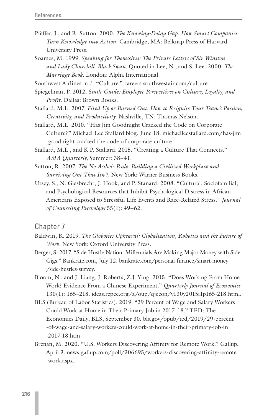- Pfeffer, J., and R. Sutton. 2000. *The Knowing-Doing Gap: How Smart Companies Turn Knowledge into Action*. Cambridge, MA: Belknap Press of Harvard University Press.
- Soames, M. 1999. *Speaking for Themselves: The Private Letters of Sir Winston and Lady Churchill. Black Swan*. Quoted in Lee, N., and S. Lee. 2000. *The Marriage Book*. London: Alpha International.

Southwest Airlines. n.d. "Culture." careers.southwestair.com/culture.

- Spiegelman, P. 2012. S*mile Guide: Employee Perspectives on Culture, Loyalty, and Profit*. Dallas: Brown Books.
- Stallard, M.L. 2007. *Fired Up or Burned Out: How to Reignite Your Team's Passion, Creativity, and Productivity*. Nashville, TN: Thomas Nelson.
- Stallard, M.L. 2010. "Has Jim Goodnight Cracked the Code on Corporate Culture?" Michael Lee Stallard blog, June 18. michaelleestallard.com/has-jim -goodnight-cracked-the-code-of-corporate-culture.
- Stallard, M.L., and K.P. Stallard. 2015. "Creating a Culture That Connects." *AMA Quarterly,* Summer: 38–41.
- Sutton, R. 2007. *The No Asshole Rule: Building a Civilized Workplace and Surviving One That Isn't*. New York: Warner Business Books.
- Utsey, S., N. Giesbrecht, J. Hook, and P. Stanard. 2008. "Cultural, Sociofamilial, and Psychological Resources that Inhibit Psychological Distress in African Americans Exposed to Stressful Life Events and Race-Related Stress." *Journal of Counseling Psychology* 55(1): 49–62.

- Baldwin, R. 2019. *The Globotics Upheaval: Globalization, Robotics and the Future of Work.* New York: Oxford University Press.
- Berger, S. 2017. "Side Hustle Nation: Millennials Are Making Major Money with Side Gigs." Bankrate.com, July 12. bankrate.com/personal-finance/smart-money /side-hustles-survey.
- Bloom, N., and J. Liang, J. Roberts, Z.J. Ying. 2015. "Does Working From Home Work? Evidence From a Chinese Experiment." *Quarterly Journal of Economics* 130(1): 165–218. ideas.repec.org/a/oup/qjecon/v130y2015i1p165-218.html.
- BLS (Bureau of Labor Statistics). 2019. "29 Percent of Wage and Salary Workers Could Work at Home in Their Primary Job in 2017–18." TED: The Economics Daily, BLS, September 30. bls.gov/opub/ted/2019/29-percent -of-wage-and-salary-workers-could-work-at-home-in-their-primary-job-in -2017-18.htm
- Brenan, M. 2020. "U.S. Workers Discovering Affinity for Remote Work." Gallup, April 3. news.gallup.com/poll/306695/workers-discovering-affinity-remote -work.aspx.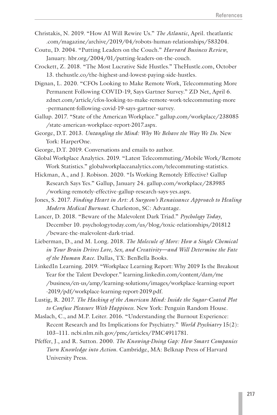- Christakis, N. 2019. "How AI Will Rewire Us." *The Atlantic*, April. theatlantic .com/magazine/archive/2019/04/robots-human-relationships/583204.
- Coutu, D. 2004. "Putting Leaders on the Couch." *Harvard Business Review*, January. hbr.org/2004/01/putting-leaders-on-the-couch.
- Crockett, Z. 2018. "The Most Lucrative Side Hustles." TheHustle.com, October 13. thehustle.co/the-highest-and-lowest-paying-side-hustles.
- Dignan, L. 2020. "CFOs Looking to Make Remote Work, Telecommuting More Permanent Following COVID-19, Says Gartner Survey." ZD Net, April 6. zdnet.com/article/cfos-looking-to-make-remote-work-telecommuting-more -permanent-following-covid-19-says-gartner-survey.
- Gallup. 2017. "State of the American Workplace." gallup.com/workplace/238085 /state-american-workplace-report-2017.aspx.
- George, D.T. 2013. *Untangling the Mind: Why We Behave the Way We Do*. New York: HarperOne.
- George, D.T. 2019. Conversations and emails to author.
- Global Workplace Analytics. 2019. "Latest Telecommuting/Mobile Work/Remote Work Statistics." globalworkplaceanalytics.com/telecommuting-statistics.
- Hickman, A., and J. Robison. 2020. "Is Working Remotely Effective? Gallup Research Says Yes." Gallup, January 24. gallup.com/workplace/283985 /working-remotely-effective-gallup-research-says-yes.aspx.
- Jones, S. 2017. *Finding Heart in Art: A Surgeon's Renaissance Approach to Healing Modern Medical Burnout*. Charleston, SC: Advantage.
- Lancer, D. 2018. "Beware of the Malevolent Dark Triad." *Psychology Today*, December 10. psychologytoday.com/us/blog/toxic-relationships/201812 /beware-the-malevolent-dark-triad.
- Lieberman, D., and M. Long. 2018. *The Molecule of More: How a Single Chemical in Your Brain Drives Love, Sex, and Creativity—and Will Determine the Fate of the Human Race*. Dallas, TX: BenBella Books.
- LinkedIn Learning. 2019. "Workplace Learning Report: Why 2019 Is the Breakout Year for the Talent Developer." learning.linkedin.com/content/dam/me /business/en-us/amp/learning-solutions/images/workplace-learning-report -2019/pdf/workplace-learning-report-2019.pdf.
- Lustig, R. 2017. *The Hacking of the American Mind: Inside the Sugar-Coated Plot to Confuse Pleasure With Happiness*. New York: Penguin Random House.
- Maslach, C., and M.P. Leiter. 2016. "Understanding the Burnout Experience: Recent Research and Its Implications for Psychiatry." *World Psychiatry* 15(2): 103–111. ncbi.nlm.nih.gov/pmc/articles/PMC4911781.
- Pfeffer, J., and R. Sutton. 2000. *The Knowing-Doing Gap: How Smart Companies Turn Knowledge into Action*. Cambridge, MA: Belknap Press of Harvard University Press.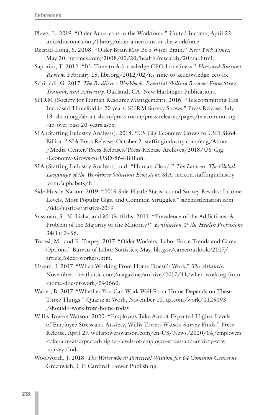- Plews, L. 2019. "Older Americans in the Workforce." United Income, April 22. unitedincome.com/library/older-americans-in-the-workforce.
- Reistad-Long, S. 2008. "Older Brain May Be a Wiser Brain." *New York Times,* May 20. nytimes.com/2008/05/20/health/research/20brai.html.
- Saporito, T. 2012. "It's Time to Acknowledge CEO Loneliness." *Harvard Business Review*, February 15. hbr.org/2012/02/its-time-to-acknowledge-ceo-lo.
- Schiraldi, G. 2017. *The Resilience Workbook: Essential Skills to Recover From Stress, Trauma, and Adversity*. Oakland, CA: New Harbinger Publications.
- SHRM (Society for Human Resource Management). 2016. "Telecommuting Has Increased Threefold in 20 years, SHRM Survey Shows." Press Release, July 13. shrm.org/about-shrm/press-room/press-releases/pages/telecommuting -up-over-past-20-years.aspx.
- SIA (Staffing Industry Analysts). 2018. "US Gig Economy Grows to USD \$864 Billion." SIA Press Release, October 2. staffingindustry.com/eng/About /Media-Center/Press-Releases/Press-Release-Archives/2018/US-Gig -Economy-Grows-to-USD-864-Billion.
- SIA (Staffing Industry Analysts). n.d. "Human Cloud." *The Lexicon: The Global Language of the Workforce Solutions Ecosystem*, SIA. lexicon.staffingindustry .com/alphabets/h.
- Side Hustle Nation. 2019. "2019 Side Hustle Statistics and Survey Results: Income Levels, Most Popular Gigs, and Common Struggles." sidehustlenation.com /side-hustle-statistics-2019.
- Sussman, S., N. Lisha, and M. Griffiths. 2011. "Prevalence of the Addictions: A Problem of the Majority or the Minority?" *Evaluation & the Health Professions* 34(1): 3–56.
- Toossi, M., and E. Torpey. 2017. "Older Workers: Labor Force Trends and Career Options." Bureau of Labor Statistics, May. bls.gov/careeroutlook/2017/ article/older-workers.htm.
- Useem, J. 2017. "When Working From Home Doesn't Work." *The Atlantic*, November. theatlantic.com/magazine/archive/2017/11/when-working-from -home-doesnt-work/540660.
- Waber, B. 2017. "Whether You Can Work Well From Home Depends on These Three Things." Quartz at Work, November 10. qz.com/work/1125093 /should-i-work-from-home-today.
- Willis Towers Watson. 2020. "Employers Take Aim at Expected Higher Levels of Employee Stress and Anxiety, Willis Towers Watson Survey Finds." Press Release, April 27. willistowerswatson.com/en-US/News/2020/04/employers -take-aim-at-expected-higher-levels-of-employee-stress-and-anxiety-wtw -survey-finds.
- Woolworth, J. 2018. *The Waterwheel: Practical Wisdom for 64 Common Concerns*. Greenwich, CT: Cardinal Flower Publishing.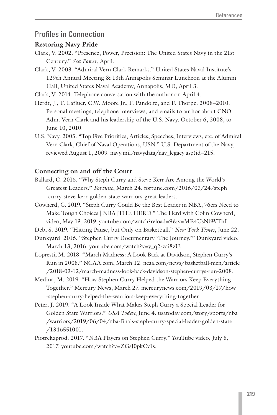## Profiles in Connection

#### **Restoring Navy Pride**

- Clark, V. 2002. "Presence, Power, Precision: The United States Navy in the 21st Century." *Sea Power*, April.
- Clark, V. 2003. "Admiral Vern Clark Remarks." United States Naval Institute's 129th Annual Meeting & 13th Annapolis Seminar Luncheon at the Alumni Hall, United States Naval Academy, Annapolis, MD, April 3.
- Clark, V. 2014. Telephone conversation with the author on April 4.
- Herdt, J., T. Lafluer, C.W. Moore Jr., F. Pandolfe, and F. Thorpe. 2008–2010. Personal meetings, telephone interviews, and emails to author about CNO Adm. Vern Clark and his leadership of the U.S. Navy. October 6, 2008, to June 10, 2010.
- U.S. Navy. 2005. "Top Five Priorities, Articles, Speeches, Interviews, etc. of Admiral Vern Clark, Chief of Naval Operations, USN." U.S. Department of the Navy, reviewed August 1, 2009. navy.mil/navydata/nav\_legacy.asp?id=215.

#### **Connecting on and off the Court**

- Ballard, C. 2016. "Why Steph Curry and Steve Kerr Are Among the World's Greatest Leaders." *Fortune*, March 24. fortune.com/2016/03/24/steph -curry-steve-kerr-golden-state-warriors-great-leaders.
- Cowherd, C. 2019. "Steph Curry Could Be the Best Leader in NBA, 76ers Need to Make Tough Choices | NBA |THE HERD." The Herd with Colin Cowherd, video, May 13, 2019. youtube.com/watch?reload=9&v=ME4UsNbWThI.

Deb, S. 2019. "Hitting Pause, but Only on Basketball." *New York Times*, June 22.

Dunkyard. 2016. "Stephen Curry Documentary 'The Journey.'" Dunkyard video. March 13, 2016. youtube.com/watch?v=y\_q2-zai8zU.

Lopresti, M. 2018. "March Madness: A Look Back at Davidson, Stephen Curry's Run in 2008." NCAA.com, March 12. ncaa.com/news/basketball-men/article /2018-03-12/march-madness-look-back-davidson-stephen-currys-run-2008.

- Medina, M. 2019. "How Stephen Curry Helped the Warriors Keep Everything Together." Mercury News, March 27. mercurynews.com/2019/03/27/how -stephen-curry-helped-the-warriors-keep-everything-together.
- Peter, J. 2019. "A Look Inside What Makes Steph Curry a Special Leader for Golden State Warriors." *USA Today*, June 4. usatoday.com/story/sports/nba /warriors/2019/06/04/nba-finals-steph-curry-special-leader-golden-state /1346551001.
- Piotrekzprod. 2017. "NBA Players on Stephen Curry." YouTube video, July 8, 2017. youtube.com/watch?v=ZGsJ0pkCv1s.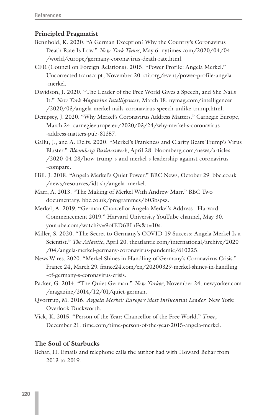#### **Principled Pragmatist**

- Bennhold, K. 2020. "A German Exception? Why the Country's Coronavirus Death Rate Is Low." *New York Times*, May 6. nytimes.com/2020/04/04 /world/europe/germany-coronavirus-death-rate.html.
- CFR (Council on Foreign Relations). 2015. "Power Profile: Angela Merkel." Uncorrected transcript, November 20. cfr.org/event/power-profile-angela -merkel.
- Davidson, J. 2020. "The Leader of the Free World Gives a Speech, and She Nails It." *New York Magazine Intelligencer*, March 18. nymag.com/intelligencer /2020/03/angela-merkel-nails-coronavirus-speech-unlike-trump.html.
- Dempsey, J. 2020. "Why Merkel's Coronavirus Address Matters." Carnegie Europe, March 24. carnegieeurope.eu/2020/03/24/why-merkel-s-coronavirus -address-matters-pub-81357.
- Gallu, J., and A. Delfs. 2020. "Merkel's Frankness and Clarity Beats Trump's Virus Bluster." *Bloomberg Businessweek*, April 28. bloomberg.com/news/articles /2020-04-28/how-trump-s-and-merkel-s-leadership-against-coronavirus -compare.
- Hill, J. 2018. "Angela Merkel's Quiet Power." BBC News, October 29. bbc.co.uk /news/resources/idt-sh/angela\_merkel.
- Marr, A. 2013. "The Making of Merkel With Andrew Marr." BBC Two documentary. bbc.co.uk/programmes/b03bspsz.
- Merkel, A. 2019. "German Chancellor Angela Merkel's Address | Harvard Commencement 2019." Harvard University YouTube channel, May 30. youtube.com/watch?v=9ofED6BInFs&t=10s.
- Miller, S. 2020. "The Secret to Germany's COVID-19 Success: Angela Merkel Is a Scientist." *The Atlantic*, April 20. theatlantic.com/international/archive/2020 /04/angela-merkel-germany-coronavirus-pandemic/610225.
- News Wires. 2020. "Merkel Shines in Handling of Germany's Coronavirus Crisis." France 24, March 29. france24.com/en/20200329-merkel-shines-in-handling -of-germany-s-coronavirus-crisis.
- Packer, G. 2014. "The Quiet German." *New Yorker*, November 24. newyorker.com /magazine/2014/12/01/quiet-german.
- Qvortrup, M. 2016. *Angela Merkel: Europe's Most Influential Leader*. New York: Overlook Duckworth.
- Vick, K. 2015. "Person of the Year: Chancellor of the Free World." *Time*, December 21. time.com/time-person-of-the-year-2015-angela-merkel.

#### **The Soul of Starbucks**

Behar, H. Emails and telephone calls the author had with Howard Behar from 2013 to 2019.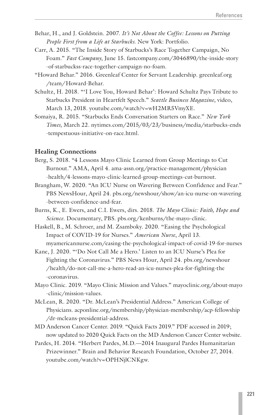- Behar, H., and J. Goldstein. 2007. *It's Not About the Coffee: Lessons on Putting People First from a Life at Starbucks*. New York: Portfolio.
- Carr, A. 2015. "The Inside Story of Starbucks's Race Together Campaign, No Foam." *Fast Company*, June 15. fastcompany.com/3046890/the-inside-story -of-starbuckss-race-together-campaign-no-foam.
- "Howard Behar." 2016. Greenleaf Center for Servant Leadership. greenleaf.org /team/Howard-Behar.
- Schultz, H. 2018. "'I Love You, Howard Behar': Howard Schultz Pays Tribute to Starbucks President in Heartfelt Speech." *Seattle Business Magazine,* video, March 13, 2018. youtube.com/watch?v=wH2MR5VmyXE.
- Somaiya, R. 2015. "Starbucks Ends Conversation Starters on Race." *New York Times,* March 22. nytimes.com/2015/03/23/business/media/starbucks-ends -tempestuous-initiative-on-race.html.

#### **Healing Connections**

- Berg, S. 2018. "4 Lessons Mayo Clinic Learned from Group Meetings to Cut Burnout." AMA, April 4. ama-assn.org/practice-management/physician -health/4-lessons-mayo-clinic-learned-group-meetings-cut-burnout.
- Brangham, W. 2020. "An ICU Nurse on Wavering Between Confidence and Fear." PBS NewsHour, April 24. pbs.org/newshour/show/an-icu-nurse-on-wavering -between-confidence-and-fear.
- Burns, K., E. Ewers, and C.I. Ewers, dirs. 2018. *The Mayo Clinic: Faith, Hope and Science*. Documentary, PBS. pbs.org/kenburns/the-mayo-clinic.
- Haskell, B., M. Schroer, and M. Zsamboky. 2020. "Easing the Psychological Impact of COVID-19 for Nurses." *American Nurse*, April 13. myamericannurse.com/easing-the-psychological-impact-of-covid-19-for-nurses
- Kane, J. 2020. "'Do Not Call Me a Hero.' Listen to an ICU Nurse's Plea for Fighting the Coronavirus." PBS News Hour, April 24. pbs.org/newshour /health/do-not-call-me-a-hero-read-an-icu-nurses-plea-for-fighting-the -coronavirus.
- Mayo Clinic. 2019. "Mayo Clinic Mission and Values." mayoclinic.org/about-mayo -clinic/mission-values.
- McLean, R. 2020. "Dr. McLean's Presidential Address." American College of Physicians. acponline.org/membership/physician-membership/acp-fellowship /dr-mcleans-presidential-address.
- MD Anderson Cancer Center. 2019. "Quick Facts 2019." PDF accessed in 2019; now updated to 2020 Quick Facts on the MD Anderson Cancer Center website.
- Pardes, H. 2014. "Herbert Pardes, M.D.—2014 Inaugural Pardes Humanitarian Prizewinner." Brain and Behavior Research Foundation, October 27, 2014. youtube.com/watch?v=OPHNjlCNKgw.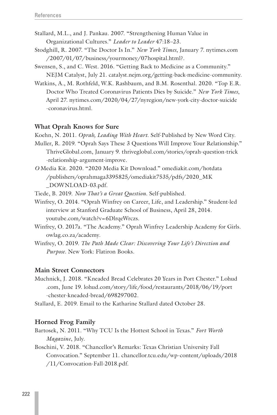- Stallard, M.L., and J. Pankau. 2007. "Strengthening Human Value in Organizational Cultures." *Leader to Leader* 47:18–23.
- Stodghill, R. 2007. "The Doctor Is In." *New York Times*, January 7. nytimes.com /2007/01/07/business/yourmoney/07hospital.html?.
- Swensen, S., and C. West. 2016. "Getting Back to Medicine as a Community." NEJM Catalyst, July 21. catalyst.nejm.org/getting-back-medicine-community.
- Watkins, A., M. Rothfeld, W.K. Rashbaum, and B.M. Rosenthal. 2020. "Top E.R. Doctor Who Treated Coronavirus Patients Dies by Suicide." *New York Times*, April 27. nytimes.com/2020/04/27/nyregion/new-york-city-doctor-suicide -coronavirus.html.

#### **What Oprah Knows for Sure**

Koehn, N. 2011. *Oprah, Leading With Heart*. Self-Published by New Word City.

- Muller, R. 2019. "Oprah Says These 3 Questions Will Improve Your Relationship." ThriveGlobal.com, January 9. thriveglobal.com/stories/oprah-question-trick -relationship-argument-improve.
- *O* Media Kit. 2020. "2020 Media Kit Download." omediakit.com/hotdata /publishers/oprahmaga3395825/omediakit7535/pdfs/2020\_MK \_DOWNLOAD-03.pdf.

Tiede, B. 2019. *Now That's a Great Question*. Self-published.

- Winfrey, O. 2014. "Oprah Winfrey on Career, Life, and Leadership." Student-led interview at Stanford Graduate School of Business, April 28, 2014. youtube.com/watch?v=6DlrqeWrczs.
- Winfrey, O. 2017a. "The Academy." Oprah Winfrey Leadership Academy for Girls. owlag.co.za/academy.
- Winfrey, O. 2019. *The Path Made Clear: Discovering Your Life's Direction and Purpose*. New York: Flatiron Books.

#### **Main Street Connectors**

- Muchnick, J. 2018. "Kneaded Bread Celebrates 20 Years in Port Chester." Lohud .com, June 19. lohud.com/story/life/food/restaurants/2018/06/19/port -chester-kneaded-bread/698297002.
- Stallard, E. 2019. Email to the Katharine Stallard dated October 28.

#### **Horned Frog Family**

- Bartosek, N. 2011. "Why TCU Is the Hottest School in Texas." *Fort Worth Magazine*, July.
- Boschini, V. 2018. "Chancellor's Remarks: Texas Christian University Fall Convocation." September 11. chancellor.tcu.edu/wp-content/uploads/2018 /11/Convocation-Fall-2018.pdf.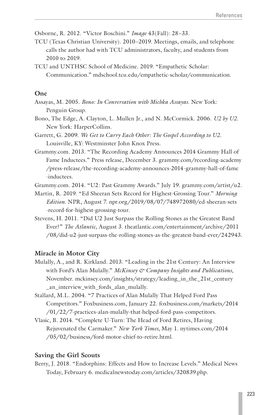Osborne, R. 2012. "Victor Boschini." *Image* 43(Fall): 28–33.

- TCU (Texas Christian University). 2010–2019. Meetings, emails, and telephone calls the author had with TCU administrators, faculty, and students from 2010 to 2019.
- TCU and UNTHSC School of Medicine. 2019. "Empathetic Scholar: Communication." mdschool.tcu.edu/empathetic-scholar/communication.

#### **One**

- Assayas, M. 2005. *Bono: In Conversation with Michka Assayas*. New York: Penguin Group.
- Bono, The Edge, A. Clayton, L. Mullen Jr., and N. McCormick. 2006. *U2 by U2*. New York: HarperCollins.
- Garrett, G. 2009. *We Get to Carry Each Other: The Gospel According to U2*. Louisville, KY: Westminster John Knox Press.
- Grammy.com. 2013. "The Recording Academy Announces 2014 Grammy Hall of Fame Inductees." Press release, December 3. grammy.com/recording-academy /press-release/the-recording-academy-announces-2014-grammy-hall-of-fame -inductees.
- Grammy.com. 2014. "U2: Past Grammy Awards." July 19. grammy.com/artist/u2.
- Martin, R. 2019. "Ed Sheeran Sets Record for Highest-Grossing Tour." *Morning Edition.* NPR, August 7. npr.org/2019/08/07/748972080/ed-sheeran-sets -record-for-highest-grossing-tour.
- Stevens, H. 2011. "Did U2 Just Surpass the Rolling Stones as the Greatest Band Ever?" *The Atlantic,* August 3. theatlantic.com/entertainment/archive/2011 /08/did-u2-just-surpass-the-rolling-stones-as-the-greatest-band-ever/242943.

#### **Miracle in Motor City**

- Mulally, A., and R. Kirkland. 2013. "Leading in the 21st Century: An Interview with Ford's Alan Mulally." *McKinsey & Company Insights and Publications*, November. mckinsey.com/insights/strategy/leading\_in\_the\_21st\_century \_an\_interview\_with\_fords\_alan\_mulally.
- Stallard, M.L. 2004. "7 Practices of Alan Mulally That Helped Ford Pass Competitors." Foxbusiness.com, January 22. foxbusiness.com/markets/2014 /01/22/7-practices-alan-mulally-that-helped-ford-pass-competitors.
- Vlasic, B. 2014. "Complete U-Turn: The Head of Ford Retires, Having Rejuvenated the Carmaker." *New York Times*, May 1. nytimes.com/2014 /05/02/business/ford-motor-chief-to-retire.html.

#### **Saving the Girl Scouts**

Berry, J. 2018. "Endorphins: Effects and How to Increase Levels." Medical News Today, February 6. medicalnewstoday.com/articles/320839.php.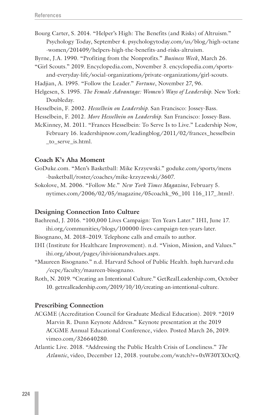- Bourg Carter, S. 2014. "Helper's High: The Benefits (and Risks) of Altruism." Psychology Today, September 4. psychologytoday.com/us/blog/high-octane -women/201409/helpers-high-the-benefits-and-risks-altruism.
- Byrne, J.A. 1990. "Profiting from the Nonprofits." *Business Week*, March 26.
- "Girl Scouts." 2019. Encyclopedia.com, November 3. encyclopedia.com/sportsand-everyday-life/social-organizations/private-organizations/girl-scouts.
- Hadjian, A. 1995. "Follow the Leader." *Fortune*, November 27, 96.
- Helgesen, S. 1995. *The Female Advantage: Women's Ways of Leadership*. New York: Doubleday.
- Hesselbein, F. 2002. *Hesselbein on Leadership*. San Francisco: Jossey-Bass.
- Hesselbein, F. 2012. *More Hesselbein on Leadership*. San Francisco: Jossey-Bass.
- McKinney, M. 2011. "Frances Hesselbein: To Serve Is to Live." Leadership Now, February 16. leadershipnow.com/leadingblog/2011/02/frances\_hesselbein \_to\_serve\_is.html.

#### **Coach K's Aha Moment**

- GoDuke.com. "Men's Basketball: Mike Krzyewski." goduke.com/sports/mens -basketball/roster/coaches/mike-krzyzewski/3607.
- Sokolove, M. 2006. "Follow Me." *New York Times Magazine*, February 5. nytimes.com/2006/02/05/magazine/05coachk\_96\_101 116\_117\_.html?.

#### **Designing Connection Into Culture**

- Baehrend, J. 2016. "100,000 Lives Campaign: Ten Years Later." IHI, June 17. ihi.org/communities/blogs/100000-lives-campaign-ten-years-later.
- Bisognano, M. 2018–2019. Telephone calls and emails to author.
- IHI (Institute for Healthcare Improvement). n.d. "Vision, Mission, and Values." ihi.org/about/pages/ihivisionandvalues.aspx.
- "Maureen Bisognano." n.d. Harvard School of Public Health. hsph.harvard.edu /ecpe/faculty/maureen-bisognano.
- Roth, N. 2019. "Creating an Intentional Culture." GetRealLeadership.com, October 10. getrealleadership.com/2019/10/10/creating-an-intentional-culture.

#### **Prescribing Connection**

- ACGME (Accreditation Council for Graduate Medical Education). 2019. "2019 Marvin R. Dunn Keynote Address." Keynote presentation at the 2019 ACGME Annual Educational Conference, video. Posted March 26, 2019. vimeo.com/326640280.
- Atlantic Live. 2018. "Addressing the Public Health Crisis of Loneliness." *The Atlantic*, video, December 12, 2018. youtube.com/watch?v=0xW30YXOctQ.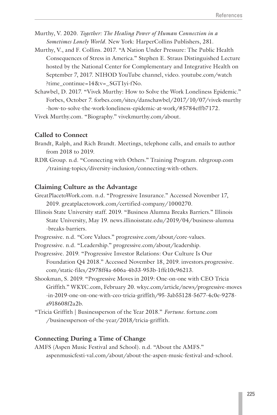- Murthy, V. 2020. *Together: The Healing Power of Human Connection in a Sometimes Lonely World*. New York: HarperCollins Publishers, 281.
- Murthy, V., and F. Collins. 2017. "A Nation Under Pressure: The Public Health Consequences of Stress in America." Stephen E. Straus Distinguished Lecture hosted by the National Center for Complementary and Integrative Health on September 7, 2017. NIHOD YouTube channel, video. youtube.com/watch ?time\_continue=14&v=\_SGT1yi-fNo.
- Schawbel, D. 2017. "Vivek Murthy: How to Solve the Work Loneliness Epidemic." Forbes, October 7. forbes.com/sites/danschawbel/2017/10/07/vivek-murthy -how-to-solve-the-work-loneliness-epidemic-at-work/#5784effb7172.

Vivek Murthy.com. "Biography." vivekmurthy.com/about.

#### **Called to Connect**

- Brandt, Ralph, and Rich Brandt. Meetings, telephone calls, and emails to author from 2018 to 2019.
- RDR Group. n.d. "Connecting with Others." Training Program. rdrgroup.com /training-topics/diversity-inclusion/connecting-with-others.

#### **Claiming Culture as the Advantage**

- GreatPlacetoWork.com. n.d. "Progressive Insurance." Accessed November 17, 2019. greatplacetowork.com/certified-company/1000270.
- Illinois State University staff. 2019. "Business Alumna Breaks Barriers." Illinois State University, May 19. news.illinoisstate.edu/2019/04/business-alumna -breaks-barriers.
- Progressive. n.d. "Core Values." progressive.com/about/core-values.
- Progressive. n.d. "Leadership." progressive.com/about/leadership.

Progressive. 2019. "Progressive Investor Relations: Our Culture Is Our Foundation Q4 2018." Accessed November 18, 2019. investors.progressive. com/static-files/2978ff4a-606a-4b33-953b-1ffe10c96213.

- Shookman, S. 2019. "Progressive Moves in 2019: One-on-one with CEO Tricia Griffith." WKYC.com, February 20. wkyc.com/article/news/progressive-moves -in-2019-one-on-one-with-ceo-tricia-griffith/95-3ab55128-5677-4c0e-9278 a918608f2a2b.
- "Tricia Griffith | Businessperson of the Year 2018." *Fortune*. fortune.com /businessperson-of-the-year/2018/tricia-griffith.

#### **Connecting During a Time of Change**

AMFS (Aspen Music Festival and School). n.d. "About the AMFS." aspenmusicfesti-val.com/about/about-the-aspen-music-festival-and-school.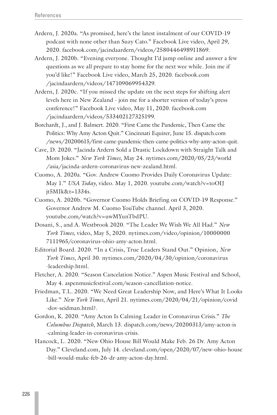- Ardern, J. 2020a. "As promised, here's the latest instalment of our COVID-19 podcast with none other than Suzy Cato." Facebook Live video, April 29, 2020. facebook.com/jacindaardern/videos/2580446498911869.
- Ardern, J. 2020b. "Evening everyone. Thought I'd jump online and answer a few questions as we all prepare to stay home for the next wee while. Join me if you'd like!" Facebook Live video, March 25, 2020. facebook.com /jacindaardern/videos/147109069954329.
- Ardern, J. 2020c. "If you missed the update on the next steps for shifting alert levels here in New Zealand - join me for a shorter version of today's press conference!" Facebook Live video, May 11, 2020. facebook.com /jacindaardern/videos/533402127325199.
- Borchardt, J., and J. Balmert. 2020. "First Came the Pandemic, Then Came the Politics: Why Amy Acton Quit." Cincinnati Equirer, June 15. dispatch.com /news/20200615/first-came-pandemic-then-came-politics-why-amy-acton-quit.
- Cave, D. 2020. "Jacinda Ardern Sold a Drastic Lockdown with Straight Talk and Mom Jokes." *New York Times*, May 24. nytimes.com/2020/05/23/world /asia/jacinda-ardern-coronavirus-new-zealand.html.
- Cuomo, A. 2020a. "Gov. Andrew Cuomo Provides Daily Coronavirus Update: May 1." *USA Today*, video. May 1, 2020. youtube.com/watch?v=toOIJ jt5MIk&t=1334s.
- Cuomo, A. 2020b. "Governor Cuomo Holds Briefing on COVID-19 Response." Governor Andrew M. Cuomo YouTube channel. April 3, 2020. youtube.com/watch?v=uwMYunTbdPU.
- Dosani, S., and A. Westbrook 2020. "The Leader We Wish We All Had." *New York Times,* video, May 5, 2020. nytimes.com/video/opinion/10000000 7111965/coronavirus-ohio-amy-acton.html.
- Editorial Board. 2020. "In a Crisis, True Leaders Stand Out." Opinion, *New York Times*, April 30. nytimes.com/2020/04/30/opinion/coronavirus -leadership.html.
- Fletcher, A. 2020. "Season Cancelation Notice." Aspen Music Festival and School, May 4. aspenmusicfestival.com/season-cancellation-notice.
- Friedman, T.L. 2020. "We Need Great Leadership Now, and Here's What It Looks Like." *New York Times*, April 21. nytimes.com/2020/04/21/opinion/covid -dov-seidman.html?.
- Gordon, K. 2020. "Amy Acton Is Calming Leader in Coronavirus Crisis." *The Columbus Dispatch*, March 13. dispatch.com/news/20200313/amy-acton-is -calming-leader-in-coronavirus-crisis.
- Hancock, L. 2020. "New Ohio House Bill Would Make Feb. 26 Dr. Amy Acton Day." Cleveland.com, July 14. cleveland.com/open/2020/07/new-ohio-house -bill-would-make-feb-26-dr-amy-acton-day.html.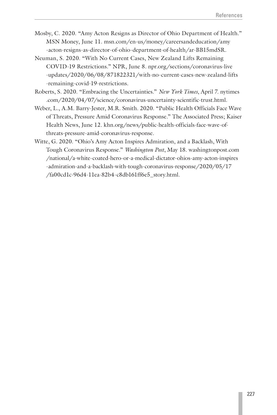- Mosby, C. 2020. "Amy Acton Resigns as Director of Ohio Department of Health." MSN Money, June 11. msn.com/en-us/money/careersandeducation/amy -acton-resigns-as-director-of-ohio-department-of-health/ar-BB15mdSR.
- Neuman, S. 2020. "With No Current Cases, New Zealand Lifts Remaining COVID-19 Restrictions." NPR, June 8. npr.org/sections/coronavirus-live -updates/2020/06/08/871822321/with-no-current-cases-new-zealand-lifts -remaining-covid-19-restrictions.
- Roberts, S. 2020. "Embracing the Uncertainties." *New York Times*, April 7. nytimes .com/2020/04/07/science/coronavirus-uncertainty-scientific-trust.html.
- Weber, L., A.M. Barry-Jester, M.R. Smith. 2020. "Public Health Officials Face Wave of Threats, Pressure Amid Coronavirus Response." The Associated Press; Kaiser Health News, June 12. khn.org/news/public-health-officials-face-wave-ofthreats-pressure-amid-coronavirus-response.
- Witte, G. 2020. "Ohio's Amy Acton Inspires Admiration, and a Backlash, With Tough Coronavirus Response." *Washington Post*, May 18. washingtonpost.com /national/a-white-coated-hero-or-a-medical-dictator-ohios-amy-acton-inspires -admiration-and-a-backlash-with-tough-coronavirus-response/2020/05/17 /fa00cd1c-96d4-11ea-82b4-c8db161ff6e5\_story.html.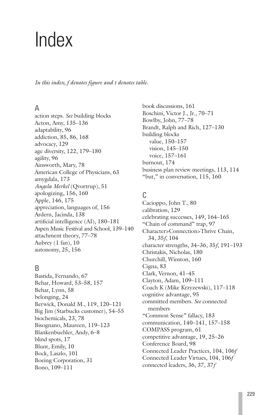# <span id="page-58-0"></span>Index

*In this index, f denotes figure and t denotes table.*

# A

action steps. *See* building blocks Acton, Amy, 135–136 adaptability, 96 addiction, 85, 86, 168 advocacy, 129 age diversity, 122, 179–180 agility, 96 Ainsworth, Mary, 78 American College of Physicians, 63 amygdala, 173 *Angela Merkel* (Qvortrup), 51 apologizing, 156, 160 Apple, 146, 175 appreciation, languages of, 156 Ardern, Jacinda, 138 artificial intelligence (AI), 180–181 Aspen Music Festival and School, 139–140 attachment theory, 77–78 Aubrey (1 fan), 10 autonomy, 25, 156

# B

Bastida, Fernando, 67 Behar, Howard, 53–58, 157 Behar, Lynn, 58 belonging, 24 Berwick, Donald M., 119, 120–121 Big Jim (Starbucks customer), 54–55 biochemicals, 23, 78 Bisognano, Maureen, 119–123 Blankenbuehler, Andy, 6–8 blind spots, 17 Blunt, Emily, 10 Bock, Laszlo, 101 Boeing Corporation, 31 Bono, 109–111

book discussions, 161 Boschini, Victor J., Jr., 70–71 Bowlby, John, 77–78 Brandt, Ralph and Rich, 127–130 building blocks value, 150–157 vision, 145–150 voice, 157–161 burnout, 174 business plan review meetings, 113, 114 "but," in conversation, 115, 160

# C

Cacioppo, John T., 80 calibration, 129 celebrating successes, 149, 164–165 "Chain of command" trap, 97 Character>Connection>Thrive Chain, 34, 35*f*, 104 character strengths, 34–36, 35*f*, 191–193 Christakis, Nicholas, 180 Churchill, Winston, 160 Cigna, 83 Clark, Vernon, 41–45 Clayton, Adam, 109–111 Coach K (Mike Krzyzewski), 117–118 cognitive advantage, 95 committed members. *See* connected members "Common Sense" fallacy, 183 communication, 140–141, 157–158 COMPASS program, 61 competitive advantage, 19, 25–26 Conference Board, 98 Connected Leader Practices, 104, 106*f* Connected Leader Virtues, 104, 106*f* connected leaders, 36, 37, 37*f*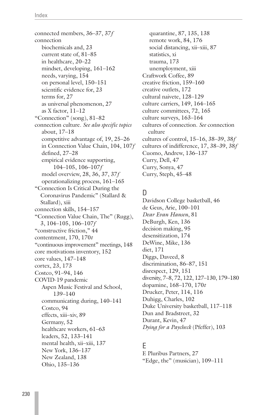connected members, 36–37, 37*f* connection biochemicals and, 23 current state of, 81–85 in healthcare, 20–22 mindset, developing, 161–162 needs, varying, 154 on personal level, 150–151 scientific evidence for, 23 terms for, 27 as universal phenomenon, 27 as X factor, 11–12 "Connection" (song), 81–82 connection culture. *See also specific topics* about, 17–18 competitive advantage of, 19, 25–26 in Connection Value Chain, 104, 107*f* defined, 27–28 empirical evidence supporting, 104–105, 106–107*f* model overview, 28, 36, 37, 37*f* operationalizing process, 161–165 "Connection Is Critical During the Coronavirus Pandemic" (Stallard & Stallard), xiii connection skills, 154–157 "Connection Value Chain, The" (Rugg), 3, 104–105, 106–107*f* "constructive friction," 44 contentment, 170, 170*t* "continuous improvement" meetings, 148 core motivations inventory, 152 core values, 147–148 cortex, 23, 173 Costco, 91–94, 146 COVID-19 pandemic Aspen Music Festival and School, 139–140 communicating during, 140–141 Costco, 94 effects, xiii–xiv, 89 Germany, 52 healthcare workers, 61–63 leaders, 52, 133–141 mental health, xii–xiii, 137 New York, 136–137 New Zealand, 138 Ohio, 135–136

quarantine, 87, 135, 138 remote work, 84, 176 social distancing, xii–xiii, 87 statistics, xi trauma, 173 unemployment, xiii Craftwork Coffee, 89 creative friction, 159–160 creative outlets, 172 cultural naivete, 128–129 culture carriers, 149, 164–165 culture committees, 72, 165 culture surveys, 163–164 cultures of connection. *See* connection culture cultures of control, 15–16, 38–39, 38*f* cultures of indifference, 17, 38–39, 38*f* Cuomo, Andrew, 136–137 Curry, Dell, 47 Curry, Sonya, 47 Curry, Steph, 45–48

## D

Davidson College basketball, 46 de Geus, Arie, 100–101 *Dear Evan Hansen*, 81 DeBurgh, Ken, 136 decision making, 95 desensitization, 174 DeWine, Mike, 136 diet, 171 Diggs, Daveed, 8 discrimination, 86–87, 151 disrespect, 129, 151 diversity, 7–8, 72, 122, 127–130, 179–180 dopamine, 168–170, 170*t* Drucker, Peter, 114, 116 Duhigg, Charles, 102 Duke University basketball, 117–118 Dun and Bradstreet, 32 Durant, Kevin, 47 *Dying for a Paycheck* (Pfeffer), 103

## E

E Pluribus Partners, 27 "Edge, the" (musician), 109–111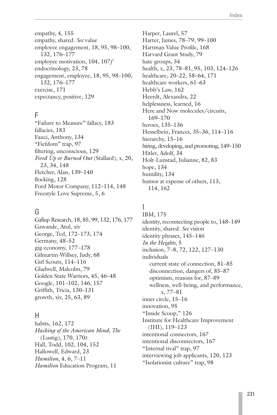empathy, 4, 155 empathy, shared. *See* value employee engagement, 18, 95, 98–100, 132, 176–177 employee motivation, 104, 107*f* endocrinology, 23, 78 engagement, employee, 18, 95, 98–100, 132, 176–177 exercise, 171 expectancy, positive, 129

### F

"Failure to Measure" fallacy, 183 fallacies, 183 Fauci, Anthony, 134 "Fiefdom" trap, 97 filtering, unconscious, 129 *Fired Up or Burned Out* (Stallard), x, 20, 23, 34, 148 Fletcher, Alan, 139–140 flocking, 128 Ford Motor Company, 112–114, 148 Freestyle Love Supreme, 5, 6

#### G

Gallup Research, 18, 85, 99, 132, 176, 177 Gawande, Atul, xiv George, Ted, 172–173, 174 Germany, 48–52 gig economy, 177–178 Gilmartin-Willsey, Judy, 68 Girl Scouts, 114–116 Gladwell, Malcolm, 79 Golden State Warriors, 45, 46–48 Google, 101–102, 146, 157 Griffith, Tricia, 130–131 growth, xiv, 25, 63, 89

#### H

habits, 162, 172 *Hacking of the American Mind, The* (Lustig), 170, 170*t* Hall, Todd, 102, 104, 152 Hallowell, Edward, 23 *Hamilton*, 4, 6, 7–11 *Hamilton* Education Program, 11

Harper, Laurel, 57 Harter, James, 78–79, 99–100 Hartman Value Profile, 168 Harvard Grant Study, 79 hate groups, 34 health, x, 23, 78–81, 95, 103, 124–126 healthcare, 20–22, 58–64, 171 healthcare workers, 61–63 Hebb's Law, 162 Heerdt, Alexandra, 22 helplessness, learned, 16 Here and Now molecules/circuits, 169–170 heroes, 135–136 Hesselbein, Frances, 35–36, 114–116 hierarchy, 15–16 hiring, developing, and promoting, 149–150 Hitler, Adolf, 34 Holt-Lunstad, Julianne, 82, 83 hope, 134 humility, 134 humor at expense of others, 113, 114, 162

# I

IBM, 175 identity, reconnecting people to, 148–149 identity, shared. *See* vision identity phrases, 145–146 *In the Heights*, 5 inclusion, 7–8, 72, 122, 127–130 individuals current state of connection, 81–85 disconnection, dangers of, 85–87 optimism, reasons for, 87–89 wellness, well-being, and performance, x, 77–81 inner circle, 15–16 innovation, 95 "Inside Scoop," 126 Institute for Healthcare Improvement (IHI), 119–123 intentional connectors, 167 intentional disconnectors, 167 "Internal rival" trap, 97 interviewing job applicants, 120, 123 "Isolationist culture" trap, 98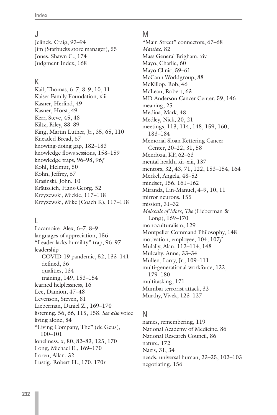#### J

Jelinek, Craig, 93–94 Jim (Starbucks store manager), 55 Jones, Shawn C., 174 Judgment Index, 168

#### K

Kail, Thomas, 6–7, 8–9, 10, 11 Kaiser Family Foundation, xiii Kasner, Herlind, 49 Kasner, Horst, 49 Kerr, Steve, 45, 48 Kiltz, Riley, 88–89 King, Martin Luther, Jr., 35, 65, 110 Kneaded Bread, 67 knowing-doing gap, 182–183 knowledge flows sessions, 158–159 knowledge traps, 96–98, 96*f* Kohl, Helmut, 50 Kohn, Jeffrey, 67 Krasinski, John, 10 Kräusslich, Hans-Georg, 52 Krzyzewski, Mickie, 117–118 Krzyzewski, Mike (Coach K), 117–118

#### L

Lacamoire, Alex, 6–7, 8–9 languages of appreciation, 156 "Leader lacks humility" trap, 96–97 leadership COVID-19 pandemic, 52, 133–141 defined, 36 qualities, 134 training, 149, 153–154 learned helplessness, 16 Lee, Damion, 47–48 Levenson, Steven, 81 Lieberman, Daniel Z., 169–170 listening, 56, 66, 115, 158. *See also* voice living alone, 84 "Living Company, The" (de Geus), 100–101 loneliness, x, 80, 82–83, 125, 170 Long, Michael E., 169–170 Loren, Allan, 32 Lustig, Robert H., 170, 170*t*

#### M

"Main Street" connectors, 67-68 *Maniac*, 82 Mass General Brigham, xiv Mayo, Charlie, 60 Mayo Clinic, 59–61 McCann Worldgroup, 88 McKillop, Bob, 46 McLean, Robert, 63 MD Anderson Cancer Center, 59, 146 meaning, 25 Medina, Mark, 48 Medley, Nick, 20, 21 meetings, 113, 114, 148, 159, 160, 183–184 Memorial Sloan Kettering Cancer Center, 20–22, 31, 58 Mendoza, KP, 62–63 mental health, xii–xiii, 137 mentors, 32, 43, 71, 122, 153–154, 164 Merkel, Angela, 48–52 mindset, 156, 161–162 Miranda, Lin-Manuel, 4–9, 10, 11 mirror neurons, 155 mission, 31–32 *Molecule of More, The* (Lieberman & Long), 169–170 monoculturalism, 129 Montpelier Command Philosophy, 148 motivation, employee, 104, 107*f* Mulally, Alan, 112–114, 148 Mulcahy, Anne, 33–34 Mullen, Larry, Jr., 109–111 multi-generational workforce, 122, 179–180 multitasking, 171 Mumbai terrorist attack, 32 Murthy, Vivek, 123–127

#### N

names, remembering, 119 National Academy of Medicine, 86 National Research Council, 86 nature, 172 Nazis, 31, 34 needs, universal human, 23–25, 102–103 negotiating, 156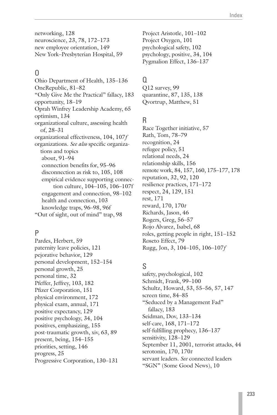networking, 128 neuroscience, 23, 78, 172–173 new employee orientation, 149 New York–Presbyterian Hospital, 59

## O

Ohio Department of Health, 135–136 OneRepublic, 81–82 "Only Give Me the Practical" fallacy, 183 opportunity, 18–19 Oprah Winfrey Leadership Academy, 65 optimism, 134 organizational culture, assessing health of, 28–31 organizational effectiveness, 104, 107*f* organizations. *See also* specific organizations and topics about, 91–94 connection benefits for, 95–96 disconnection as risk to, 105, 108 empirical evidence supporting connection culture, 104–105, 106–107f engagement and connection, 98–102 health and connection, 103 knowledge traps, 96–98, 96f "Out of sight, out of mind" trap, 98

## P

Pardes, Herbert, 59 paternity leave policies, 121 pejorative behavior, 129 personal development, 152–154 personal growth, 25 personal time, 32 Pfeffer, Jeffrey, 103, 182 Pfizer Corporation, 151 physical environment, 172 physical exam, annual, 171 positive expectancy, 129 positive psychology, 34, 104 positives, emphasizing, 155 post-traumatic growth, xiv, 63, 89 present, being, 154–155 priorities, setting, 146 progress, 25 Progressive Corporation, 130–131 Project Aristotle, 101–102 Project Oxygen, 101 psychological safety, 102 psychology, positive, 34, 104 Pygmalion Effect, 136–137

## $\Omega$

Q12 survey, 99 quarantine, 87, 135, 138 Qvortrup, Matthew, 51

## R

Race Together initiative, 57 Rath, Tom, 78–79 recognition, 24 refugee policy, 51 relational needs, 24 relationship skills, 156 remote work, 84, 157, 160, 175–177, 178 reputation, 32, 92, 120 resilience practices, 171–172 respect, 24, 129, 151 rest, 171 reward, 170, 170*t* Richards, Jason, 46 Rogers, Greg, 56–57 Rojo Alvarez, Isabel, 68 roles, getting people in right, 151–152 Roseto Effect, 79 Rugg, Jon, 3, 104–105, 106–107*f*

# S

safety, psychological, 102 Schmidt, Frank, 99–100 Schultz, Howard, 53, 55–56, 57, 147 screen time, 84–85 "Seduced by a Management Fad" fallacy, 183 Seidman, Dov, 133–134 self-care, 168, 171–172 self-fulfilling prophecy, 136–137 sensitivity, 128–129 September 11, 2001, terrorist attacks, 44 serotonin, 170, 170*t* servant leaders. *See* connected leaders "SGN" (Some Good News), 10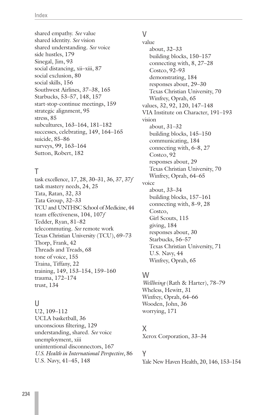shared empathy. *See* value shared identity. *See* vision shared understanding. *See* voice side hustles, 179 Sinegal, Jim, 93 social distancing, xii–xiii, 87 social exclusion, 80 social skills, 156 Southwest Airlines, 37–38, 165 Starbucks, 53–57, 148, 157 start-stop-continue meetings, 159 strategic alignment, 95 stress, 85 subcultures, 163–164, 181–182 successes, celebrating, 149, 164–165 suicide, 85–86 surveys, 99, 163–164 Sutton, Robert, 182

## T

task excellence, 17, 28, 30–31, 36, 37, 37*f* task mastery needs, 24, 25 Tata, Ratan, 32, 33 Tata Group, 32–33 TCU and UNTHSC School of Medicine, 44 team effectiveness, 104, 107*f* Tedder, Ryan, 81–82 telecommuting. *See* remote work Texas Christian University (TCU), 69–73 Thorp, Frank, 42 Threads and Treads, 68 tone of voice, 155 Traina, Tiffany, 22 training, 149, 153–154, 159–160 trauma, 172–174 trust, 134

#### $\mathbf{U}$

U2, 109–112 UCLA basketball, 36 unconscious filtering, 129 understanding, shared. *See* voice unemployment, xiii unintentional disconnectors, 167 *U.S. Health in International Perspective*, 86 U.S. Navy, 41–45, 148

# $\vee$

value about, 32–33 building blocks, 150–157 connecting with, 8, 27–28 Costco, 92–93 demonstrating, 184 responses about, 29–30 Texas Christian University, 70 Winfrey, Oprah, 65 values, 32, 92, 120, 147–148 VIA Institute on Character, 191–193 vision about, 31–32 building blocks, 145–150 communicating, 184 connecting with, 6–8, 27 Costco, 92 responses about, 29 Texas Christian University, 70 Winfrey, Oprah, 64–65 voice about, 33–34 building blocks, 157–161 connecting with, 8–9, 28 Costco, Girl Scouts, 115 giving, 184 responses about, 30 Starbucks, 56–57 Texas Christian University, 71 U.S. Navy, 44 Winfrey, Oprah, 65

## W

*Wellbeing* (Rath & Harter), 78–79 Wheless, Hewitt, 31 Winfrey, Oprah, 64–66 Wooden, John, 36 worrying, 171

# X

Xerox Corporation, 33–34

## Y

Yale New Haven Health, 20, 146, 153–154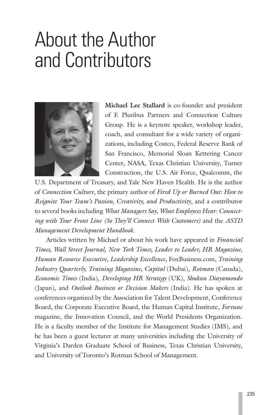# <span id="page-64-0"></span>About the Author and Contributors



**Michael Lee Stallard** is co-founder and president of E Pluribus Partners and Connection Culture Group. He is a keynote speaker, workshop leader, coach, and consultant for a wide variety of organizations, including Costco, Federal Reserve Bank of San Francisco, Memorial Sloan Kettering Cancer Center, NASA, Texas Christian University, Turner Construction, the U.S. Air Force, Qualcomm, the

U.S. Department of Treasury, and Yale New Haven Health. He is the author of *Connection Culture*, the primary author of *Fired Up or Burned Out: How to Reignite Your Team's Passion, Creativity, and Productivity*, and a contributor to several books including *What Managers Say, What Employees Hear: Connecting with Your Front Line (So They'll Connect With Customers)* and the *ASTD Management Development Handbook*.

Articles written by Michael or about his work have appeared in *Financial Times, Wall Street Journal, New York Times, Leader to Leader, HR Magazine, Human Resource Executive, Leadership Excellence,* FoxBusiness.com, *Training Industry Quarterly, Training Magazine, Capital* (Dubai), *Rotman* (Canada), *Economic Times* (India), *Developing HR Strategy* (UK), *Shukan Diayamondo*  (Japan), and *Outlook Business or Decision Makers* (India). He has spoken at conferences organized by the Association for Talent Development, Conference Board, the Corporate Executive Board, the Human Capital Institute, *Fortune* magazine, the Innovation Council, and the World Presidents Organization. He is a faculty member of the Institute for Management Studies (IMS), and he has been a guest lecturer at many universities including the University of Virginia's Darden Graduate School of Business, Texas Christian University, and University of Toronto's Rotman School of Management.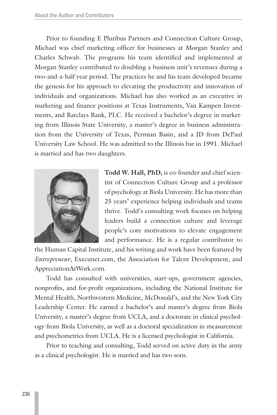Prior to founding E Pluribus Partners and Connection Culture Group, Michael was chief marketing officer for businesses at Morgan Stanley and Charles Schwab. The programs his team identified and implemented at Morgan Stanley contributed to doubling a business unit's revenues during a two-and-a-half year period. The practices he and his team developed became the genesis for his approach to elevating the productivity and innovation of individuals and organizations. Michael has also worked as an executive in marketing and finance positions at Texas Instruments, Van Kampen Investments, and Barclays Bank, PLC. He received a bachelor's degree in marketing from Illinois State University, a master's degree in business administration from the University of Texas, Permian Basin, and a JD from DePaul University Law School. He was admitted to the Illinois bar in 1991. Michael is married and has two daughters.



**Todd W. Hall, PhD,** is co-founder and chief scientist of Connection Culture Group and a professor of psychology at Biola University. He has more than 25 years' experience helping individuals and teams thrive. Todd's consulting work focuses on helping leaders build a connection culture and leverage people's core motivations to elevate engagement and performance. He is a regular contributor to

the Human Capital Institute, and his writing and work have been featured by *Entrepreneur*, Execunet.com, the Association for Talent Development, and AppreciationAtWork.com.

Todd has consulted with universities, start-ups, government agencies, nonprofits, and for-profit organizations, including the National Institute for Mental Health, Northwestern Medicine, McDonald's, and the New York City Leadership Center. He earned a bachelor's and master's degree from Biola University, a master's degree from UCLA, and a doctorate in clinical psychology from Biola University, as well as a doctoral specialization in measurement and psychometrics from UCLA. He is a licensed psychologist in California.

Prior to teaching and consulting, Todd served on active duty in the army as a clinical psychologist. He is married and has two sons.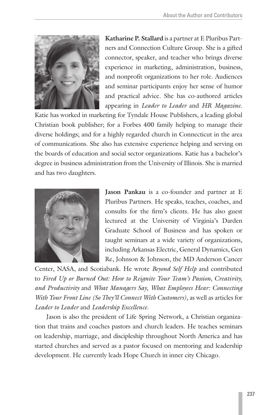

**Katharine P. Stallard** is a partner at E Pluribus Partners and Connection Culture Group. She is a gifted connector, speaker, and teacher who brings diverse experience in marketing, administration, business, and nonprofit organizations to her role. Audiences and seminar participants enjoy her sense of humor and practical advice. She has co-authored articles appearing in *Leader to Leader* and *HR Magazine*.

Katie has worked in marketing for Tyndale House Publishers, a leading global Christian book publisher; for a Forbes 400 family helping to manage their diverse holdings; and for a highly regarded church in Connecticut in the area of communications. She also has extensive experience helping and serving on the boards of education and social sector organizations. Katie has a bachelor's degree in business administration from the University of Illinois. She is married and has two daughters.



**Jason Pankau** is a co-founder and partner at E Pluribus Partners. He speaks, teaches, coaches, and consults for the firm's clients. He has also guest lectured at the University of Virginia's Darden Graduate School of Business and has spoken or taught seminars at a wide variety of organizations, including Arkansas Electric, General Dynamics, Gen Re, Johnson & Johnson, the MD Anderson Cancer

Center, NASA, and Scotiabank. He wrote *Beyond Self Help* and contributed to *Fired Up or Burned Out: How to Reignite Your Team's Passion, Creativity, and Productivity* and *What Managers Say*, *What Employees Hear: Connecting With Your Front Line (So They'll Connect With Customers)*, as well as articles for *Leader to Leader* and *Leadership Excellence*.

Jason is also the president of Life Spring Network, a Christian organization that trains and coaches pastors and church leaders. He teaches seminars on leadership, marriage, and discipleship throughout North America and has started churches and served as a pastor focused on mentoring and leadership development. He currently leads Hope Church in inner city Chicago.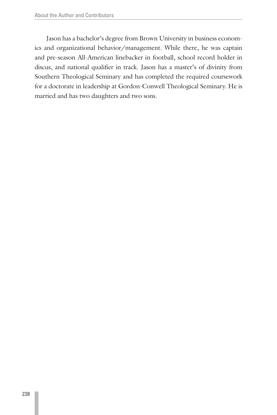Jason has a bachelor's degree from Brown University in business economics and organizational behavior/management. While there, he was captain and pre-season All-American linebacker in football, school record holder in discus, and national qualifier in track. Jason has a master's of divinity from Southern Theological Seminary and has completed the required coursework for a doctorate in leadership at Gordon-Conwell Theological Seminary. He is married and has two daughters and two sons.